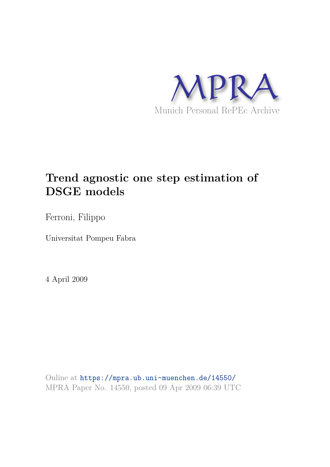

# **Trend agnostic one step estimation of DSGE models**

Ferroni, Filippo

Universitat Pompeu Fabra

4 April 2009

Online at https://mpra.ub.uni-muenchen.de/14550/ MPRA Paper No. 14550, posted 09 Apr 2009 06:39 UTC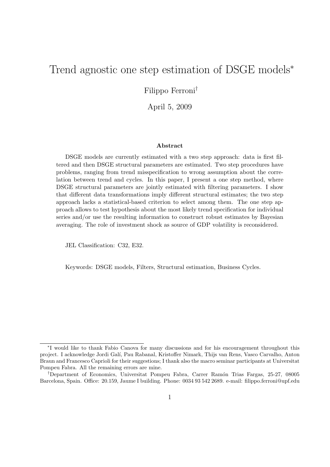# Trend agnostic one step estimation of DSGE models<sup>∗</sup>

Filippo Ferroni†

April 5, 2009

#### Abstract

DSGE models are currently estimated with a two step approach: data is first filtered and then DSGE structural parameters are estimated. Two step procedures have problems, ranging from trend misspecification to wrong assumption about the correlation between trend and cycles. In this paper, I present a one step method, where DSGE structural parameters are jointly estimated with filtering parameters. I show that different data transformations imply different structural estimates; the two step approach lacks a statistical-based criterion to select among them. The one step approach allows to test hypothesis about the most likely trend specification for individual series and/or use the resulting information to construct robust estimates by Bayesian averaging. The role of investment shock as source of GDP volatility is reconsidered.

JEL Classification: C32, E32.

Keywords: DSGE models, Filters, Structural estimation, Business Cycles.

<sup>∗</sup> I would like to thank Fabio Canova for many discussions and for his encouragement throughout this project. I acknowledge Jordi Gal´ı, Pau Rabanal, Kristoffer Nimark, Thijs van Rens, Vasco Carvalho, Anton Braun and Francesco Caprioli for their suggestions; I thank also the macro seminar participants at Universitat Pompeu Fabra. All the remaining errors are mine.

<sup>†</sup>Department of Economics, Universitat Pompeu Fabra, Carrer Ram´on Trias Fargas, 25-27, 08005 Barcelona, Spain. Office: 20.159, Jaume I building. Phone: 0034 93 542 2689. e-mail: filippo.ferroni@upf.edu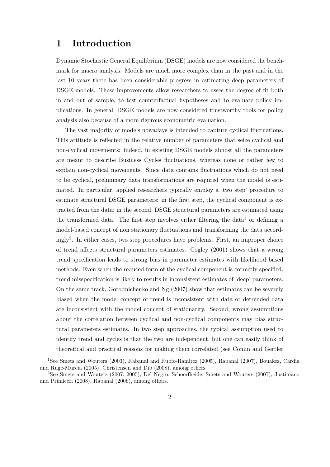# 1 Introduction

Dynamic Stochastic General Equilibrium (DSGE) models are now considered the benchmark for macro analysis. Models are much more complex than in the past and in the last 10 years there has been considerable progress in estimating deep parameters of DSGE models. These improvements allow researchers to asses the degree of fit both in and out of sample, to test counterfactual hypotheses and to evaluate policy implications. In general, DSGE models are now considered trustworthy tools for policy analysis also because of a more rigorous econometric evaluation.

The vast majority of models nowadays is intended to capture cyclical fluctuations. This attitude is reflected in the relative number of parameters that seize cyclical and non-cyclical movements: indeed, in existing DSGE models almost all the parameters are meant to describe Business Cycles fluctuations, whereas none or rather few to explain non-cyclical movements. Since data contains fluctuations which do not need to be cyclical, preliminary data transformations are required when the model is estimated. In particular, applied researchers typically employ a 'two step' procedure to estimate structural DSGE parameters: in the first step, the cyclical component is extracted from the data; in the second, DSGE structural parameters are estimated using the transformed data. The first step involves either filtering the data<sup>1</sup> or defining a model-based concept of non stationary fluctuations and transforming the data accordingly<sup>2</sup> . In either cases, two step procedures have problems. First, an improper choice of trend affects structural parameters estimates. Cogley (2001) shows that a wrong trend specification leads to strong bias in parameter estimates with likelihood based methods. Even when the reduced form of the cyclical component is correctly specified, trend misspecification is likely to results in inconsistent estimates of 'deep' parameters. On the same track, Gorodnichenko and Ng (2007) show that estimates can be severely biased when the model concept of trend is inconsistent with data or detrended data are inconsistent with the model concept of stationarity. Second, wrong assumptions about the correlation between cyclical and non-cyclical components may bias structural parameters estimates. In two step approaches, the typical assumption used to identify trend and cycles is that the two are independent, but one can easily think of theoretical and practical reasons for making them correlated (see Comin and Gertler

<sup>&</sup>lt;sup>1</sup>See Smets and Wouters (2003), Rabanal and Rubio-Ramirez (2005), Rabanal (2007), Bouakez, Cardia and Ruge-Murcia (2005), Christensen and Dib (2008), among others.

<sup>2</sup>See Smets and Wouters (2007, 2005), Del Negro, Schoerfheide, Smets and Wouters (2007), Justiniano and Primiceri (2008), Rabanal (2006), among others.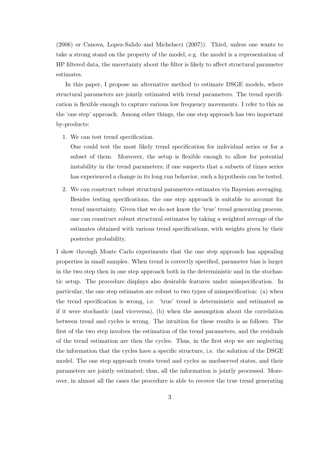(2006) or Canova, Lopez-Salido and Michelacci (2007)). Third, unless one wants to take a strong stand on the property of the model, e.g. the model is a representation of HP filtered data, the uncertainty about the filter is likely to affect structural parameter estimates.

In this paper, I propose an alternative method to estimate DSGE models, where structural parameters are jointly estimated with trend parameters. The trend specification is flexible enough to capture various low frequency movements. I refer to this as the 'one step' approach. Among other things, the one step approach has two important by-products:

1. We can test trend specification.

One could test the most likely trend specification for individual series or for a subset of them. Moreover, the setup is flexible enough to allow for potential instability in the trend parameters; if one suspects that a subsets of times series has experienced a change in its long run behavior, such a hypothesis can be tested.

2. We can construct robust structural parameters estimates via Bayesian averaging. Besides testing specifications, the one step approach is suitable to account for trend uncertainty. Given that we do not know the 'true' trend generating process, one can construct robust structural estimates by taking a weighted average of the estimates obtained with various trend specifications, with weights given by their posterior probability.

I show through Monte Carlo experiments that the one step approach has appealing properties in small samples. When trend is correctly specified, parameter bias is larger in the two step then in one step approach both in the deterministic and in the stochastic setup. The procedure displays also desirable features under misspecification. In particular, the one step estimates are robust to two types of misspecification: (a) when the trend specification is wrong, i.e. 'true' trend is deterministic and estimated as if it were stochastic (and viceversa), (b) when the assumption about the correlation between trend and cycles is wrong. The intuition for these results is as follows. The first of the two step involves the estimation of the trend parameters, and the residuals of the trend estimation are then the cycles. Thus, in the first step we are neglecting the information that the cycles have a specific structure, i.e. the solution of the DSGE model. The one step approach treats trend and cycles as unobserved states, and their parameters are jointly estimated; thus, all the information is jointly processed. Moreover, in almost all the cases the procedure is able to recover the true trend generating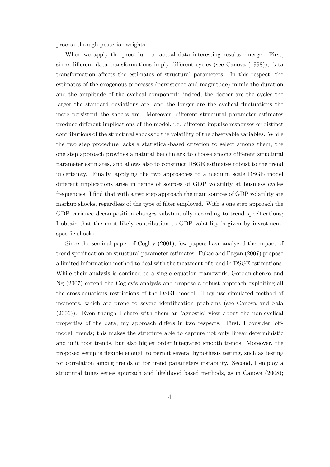process through posterior weights.

When we apply the procedure to actual data interesting results emerge. First, since different data transformations imply different cycles (see Canova (1998)), data transformation affects the estimates of structural parameters. In this respect, the estimates of the exogenous processes (persistence and magnitude) mimic the duration and the amplitude of the cyclical component: indeed, the deeper are the cycles the larger the standard deviations are, and the longer are the cyclical fluctuations the more persistent the shocks are. Moreover, different structural parameter estimates produce different implications of the model, i.e. different impulse responses or distinct contributions of the structural shocks to the volatility of the observable variables. While the two step procedure lacks a statistical-based criterion to select among them, the one step approach provides a natural benchmark to choose among different structural parameter estimates, and allows also to construct DSGE estimates robust to the trend uncertainty. Finally, applying the two approaches to a medium scale DSGE model different implications arise in terms of sources of GDP volatility at business cycles frequencies. I find that with a two step approach the main sources of GDP volatility are markup shocks, regardless of the type of filter employed. With a one step approach the GDP variance decomposition changes substantially according to trend specifications; I obtain that the most likely contribution to GDP volatility is given by investmentspecific shocks.

Since the seminal paper of Cogley (2001), few papers have analyzed the impact of trend specification on structural parameter estimates. Fukac and Pagan (2007) propose a limited information method to deal with the treatment of trend in DSGE estimations. While their analysis is confined to a single equation framework, Gorodnichenko and Ng (2007) extend the Cogley's analysis and propose a robust approach exploiting all the cross-equations restrictions of the DSGE model. They use simulated method of moments, which are prone to severe identification problems (see Canova and Sala (2006)). Even though I share with them an 'agnostic' view about the non-cyclical properties of the data, my approach differs in two respects. First, I consider 'offmodel' trends; this makes the structure able to capture not only linear deterministic and unit root trends, but also higher order integrated smooth trends. Moreover, the proposed setup is flexible enough to permit several hypothesis testing, such as testing for correlation among trends or for trend parameters instability. Second, I employ a structural times series approach and likelihood based methods, as in Canova (2008);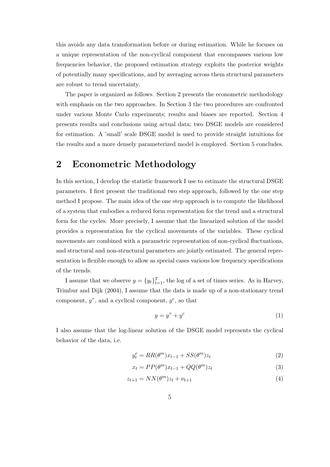this avoids any data transformation before or during estimation. While he focuses on a unique representation of the non-cyclical component that encompasses various low frequencies behavior, the proposed estimation strategy exploits the posterior weights of potentially many specifications, and by averaging across them structural parameters are robust to trend uncertainty.

The paper is organized as follows. Section 2 presents the econometric methodology with emphasis on the two approaches. In Section 3 the two procedures are confronted under various Monte Carlo experiments; results and biases are reported. Section 4 presents results and conclusions using actual data; two DSGE models are considered for estimation. A 'small' scale DSGE model is used to provide straight intuitions for the results and a more densely parameterized model is employed. Section 5 concludes.

# 2 Econometric Methodology

In this section, I develop the statistic framework I use to estimate the structural DSGE parameters. I first present the traditional two step approach, followed by the one step method I propose. The main idea of the one step approach is to compute the likelihood of a system that embodies a reduced form representation for the trend and a structural form for the cycles. More precisely, I assume that the linearized solution of the model provides a representation for the cyclical movements of the variables. These cyclical movements are combined with a parametric representation of non-cyclical fluctuations, and structural and non-structural parameters are jointly estimated. The general representation is flexible enough to allow as special cases various low frequency specifications of the trends.

I assume that we observe  $y = \{y_t\}_{t=1}^T$ , the log of a set of times series. As in Harvey, Trimbur and Dijk (2004), I assume that the data is made up of a non-stationary trend component,  $y^{\tau}$ , and a cyclical component,  $y^c$ , so that

$$
y = y^{\tau} + y^c \tag{1}
$$

I also assume that the log-linear solution of the DSGE model represents the cyclical behavior of the data, i.e.

$$
y_t^c = RR(\theta^m)x_{t-1} + SS(\theta^m)z_t
$$
\n<sup>(2)</sup>

$$
x_t = PP(\theta^m)x_{t-1} + QQ(\theta^m)z_t
$$
\n(3)

$$
z_{t+1} = NN(\theta^m)z_t + \nu_{t+1}
$$
\n<sup>(4)</sup>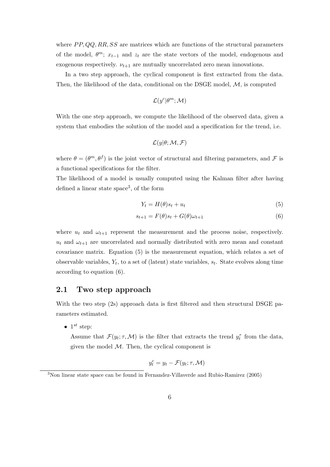where  $PP, QQ, RR, SS$  are matrices which are functions of the structural parameters of the model,  $\theta^m$ ;  $x_{t-1}$  and  $z_t$  are the state vectors of the model, endogenous and exogenous respectively.  $\nu_{t+1}$  are mutually uncorrelated zero mean innovations.

In a two step approach, the cyclical component is first extracted from the data. Then, the likelihood of the data, conditional on the DSGE model,  $M$ , is computed

$$
\mathcal{L}(y^c|\theta^m;\mathcal{M})
$$

With the one step approach, we compute the likelihood of the observed data, given a system that embodies the solution of the model and a specification for the trend, i.e.

$$
\mathcal{L}(y|\theta;\mathcal{M},\mathcal{F})
$$

where  $\theta = (\theta^m, \theta^f)$  is the joint vector of structural and filtering parameters, and  $\mathcal F$  is a functional specifications for the filter.

The likelihood of a model is usually computed using the Kalman filter after having defined a linear state space<sup>3</sup>, of the form

$$
Y_t = H(\theta)s_t + u_t \tag{5}
$$

$$
s_{t+1} = F(\theta)s_t + G(\theta)\omega_{t+1} \tag{6}
$$

where  $u_t$  and  $\omega_{t+1}$  represent the measurement and the process noise, respectively.  $u_t$  and  $\omega_{t+1}$  are uncorrelated and normally distributed with zero mean and constant covariance matrix. Equation (5) is the measurement equation, which relates a set of observable variables,  $Y_t$ , to a set of (latent) state variables,  $s_t$ . State evolves along time according to equation (6).

### 2.1 Two step approach

With the two step (2s) approach data is first filtered and then structural DSGE parameters estimated.

•  $1^{st}$  step:

Assume that  $\mathcal{F}(y_t; \tau, \mathcal{M})$  is the filter that extracts the trend  $y_t^{\tau}$  from the data, given the model  $M$ . Then, the cyclical component is

$$
y_t^c = y_t - \mathcal{F}(y_t; \tau, \mathcal{M})
$$

<sup>3</sup>Non linear state space can be found in Fernandez-Villaverde and Rubio-Ramirez (2005)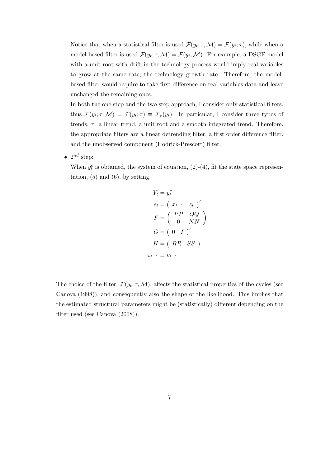Notice that when a statistical filter is used  $\mathcal{F}(y_t; \tau, \mathcal{M}) = \mathcal{F}(y_t; \tau)$ , while when a model-based filter is used  $\mathcal{F}(y_t; \tau, \mathcal{M}) = \mathcal{F}(y_t; \mathcal{M})$ . For example, a DSGE model with a unit root with drift in the technology process would imply real variables to grow at the same rate, the technology growth rate. Therefore, the modelbased filter would require to take first difference on real variables data and leave unchanged the remaining ones.

In both the one step and the two step approach, I consider only statistical filters, thus  $\mathcal{F}(y_t; \tau, \mathcal{M}) = \mathcal{F}(y_t; \tau) \equiv \mathcal{F}_{\tau}(y_t)$ . In particular, I consider three types of trends,  $\tau$ : a linear trend, a unit root and a smooth integrated trend. Therefore, the appropriate filters are a linear detrending filter, a first order difference filter, and the unobserved component (Hodrick-Prescott) filter.

•  $2^{nd}$  step:

When  $y_t^c$  is obtained, the system of equation, (2)-(4), fit the state space representation,  $(5)$  and  $(6)$ , by setting

$$
Y_t = y_t^c
$$
  
\n
$$
s_t = \begin{pmatrix} x_{t-1} & z_t \end{pmatrix}'
$$
  
\n
$$
F = \begin{pmatrix} PP & QQ \\ 0 & NN \end{pmatrix}
$$
  
\n
$$
G = \begin{pmatrix} 0 & I \end{pmatrix}'
$$
  
\n
$$
H = \begin{pmatrix} RR & SS \end{pmatrix}
$$
  
\n
$$
\omega_{t+1} = \nu_{t+1}
$$

The choice of the filter,  $\mathcal{F}(y_t; \tau, \mathcal{M})$ , affects the statistical properties of the cycles (see Canova (1998)), and consequently also the shape of the likelihood. This implies that the estimated structural parameters might be (statistically) different depending on the filter used (see Canova (2008)).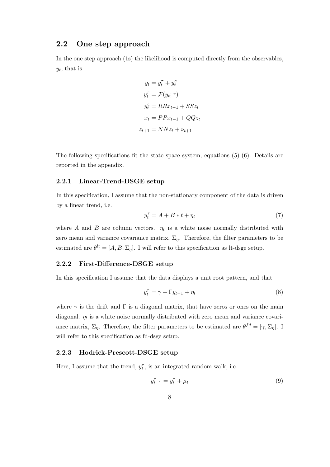### 2.2 One step approach

In the one step approach (1s) the likelihood is computed directly from the observables,  $y_t$ , that is

$$
y_t = y_t^{\tau} + y_t^c
$$
  
\n
$$
y_t^{\tau} = \mathcal{F}(y_t; \tau)
$$
  
\n
$$
y_t^c = RRx_{t-1} + SSz_t
$$
  
\n
$$
x_t = PPx_{t-1} + QQz_t
$$
  
\n
$$
z_{t+1} = NNz_t + \nu_{t+1}
$$

The following specifications fit the state space system, equations  $(5)-(6)$ . Details are reported in the appendix.

#### 2.2.1 Linear-Trend-DSGE setup

In this specification, I assume that the non-stationary component of the data is driven by a linear trend, i.e.

$$
y_t^\tau = A + B \ast t + \eta_t \tag{7}
$$

where A and B are column vectors.  $\eta_t$  is a white noise normally distributed with zero mean and variance covariance matrix,  $\Sigma_{\eta}$ . Therefore, the filter parameters to be estimated are  $\theta^{lt} = [A, B, \Sigma_{\eta}]$ . I will refer to this specification as lt-dsge setup.

#### 2.2.2 First-Difference-DSGE setup

In this specification I assume that the data displays a unit root pattern, and that

$$
y_t^\tau = \gamma + \Gamma y_{t-1} + \eta_t \tag{8}
$$

where  $\gamma$  is the drift and  $\Gamma$  is a diagonal matrix, that have zeros or ones on the main diagonal.  $\eta_t$  is a white noise normally distributed with zero mean and variance covariance matrix,  $\Sigma_{\eta}$ . Therefore, the filter parameters to be estimated are  $\theta^{fd} = [\gamma, \Sigma_{\eta}]$ . I will refer to this specification as fd-dsge setup.

#### 2.2.3 Hodrick-Prescott-DSGE setup

Here, I assume that the trend,  $y_t^{\tau}$ , is an integrated random walk, i.e.

$$
y_{t+1}^{\tau} = y_t^{\tau} + \mu_t \tag{9}
$$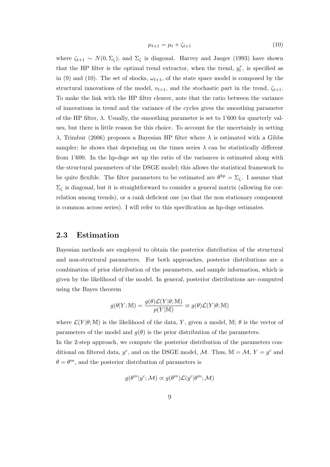$$
\mu_{t+1} = \mu_t + \zeta_{t+1} \tag{10}
$$

where  $\zeta_{t+1} \sim N(0, \Sigma_{\zeta})$ , and  $\Sigma_{\zeta}$  is diagonal. Harvey and Jaeger (1993) have shown that the HP filter is the optimal trend extractor, when the trend,  $y_t^{\tau}$ , is specified as in (9) and (10). The set of shocks,  $\omega_{t+1}$ , of the state space model is composed by the structural innovations of the model,  $\nu_{t+1}$ , and the stochastic part in the trend,  $\zeta_{t+1}$ . To make the link with the HP filter clearer, note that the ratio between the variance of innovations in trend and the variance of the cycles gives the smoothing parameter of the HP filter,  $\lambda$ . Usually, the smoothing parameter is set to 1'600 for quarterly values, but there is little reason for this choice. To account for the uncertainly in setting λ, Trimbur (2006) proposes a Bayesian HP filter where λ is estimated with a Gibbs sampler; he shows that depending on the times series  $\lambda$  can be statistically different from 1'600. In the hp-dsge set up the ratio of the variances is estimated along with the structural parameters of the DSGE model; this allows the statistical framework to be quite flexible. The filter parameters to be estimated are  $\theta^{hp} = \Sigma_{\zeta}$ . I assume that  $\Sigma_\zeta$  is diagonal, but it is straightforward to consider a general matrix (allowing for correlation among trends), or a rank deficient one (so that the non stationary component is common across series). I will refer to this specification as hp-dsge estimates.

#### 2.3 Estimation

Bayesian methods are employed to obtain the posterior distribution of the structural and non-structural parameters. For both approaches, posterior distributions are a combination of prior distribution of the parameters, and sample information, which is given by the likelihood of the model. In general, posterior distributions are computed using the Bayes theorem

$$
g(\theta|Y; \mathbb{M}) = \frac{g(\theta)\mathcal{L}(Y|\theta; \mathbb{M})}{p(Y|\mathbb{M})} \propto g(\theta)\mathcal{L}(Y|\theta; \mathbb{M})
$$

where  $\mathcal{L}(Y | \theta; \mathbb{M})$  is the likelihood of the data, Y, given a model, M;  $\theta$  is the vector of parameters of the model and  $q(\theta)$  is the prior distribution of the parameters.

In the 2-step approach, we compute the posterior distribution of the parameters conditional on filtered data,  $y^c$ , and on the DSGE model, M. Thus, M = M,  $Y = y^c$  and  $\theta = \theta^m$ , and the posterior distribution of parameters is

$$
g(\theta^m | y^c; \mathcal{M}) \propto g(\theta^m) \mathcal{L}(y^c | \theta^m; \mathcal{M})
$$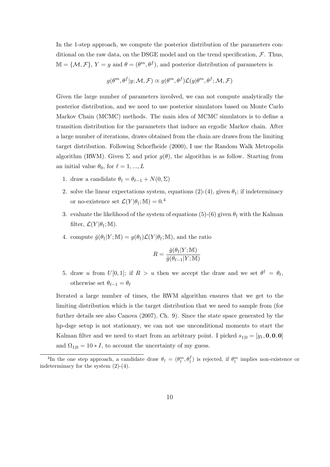In the 1-step approach, we compute the posterior distribution of the parameters conditional on the raw data, on the DSGE model and on the trend specification,  $\mathcal{F}$ . Thus,  $\mathbb{M} = \{\mathcal{M}, \mathcal{F}\}, Y = y \text{ and } \theta = (\theta^m, \theta^f), \text{ and posterior distribution of parameters is }$ 

$$
g(\theta^m, \theta^f | y; \mathcal{M}, \mathcal{F}) \propto g(\theta^m, \theta^f) \mathcal{L}(y | \theta^m, \theta^f; \mathcal{M}, \mathcal{F})
$$

Given the large number of parameters involved, we can not compute analytically the posterior distribution, and we need to use posterior simulators based on Monte Carlo Markov Chain (MCMC) methods. The main idea of MCMC simulators is to define a transition distribution for the parameters that induce an ergodic Markov chain. After a large number of iterations, draws obtained from the chain are draws from the limiting target distribution. Following Schorfheide (2000), I use the Random Walk Metropolis algorithm (RWM). Given  $\Sigma$  and prior  $g(\theta)$ , the algorithm is as follow. Starting from an initial value  $\theta_0$ , for  $\ell = 1, ..., L$ 

- 1. draw a candidate  $\theta_{\dagger} = \theta_{\ell-1} + N(0, \Sigma)$
- 2. solve the linear expectations system, equations (2)-(4), given  $\theta_i$ ; if indeterminacy or no-existence set  $\mathcal{L}(Y|\theta_\dagger;\mathbb{M}) = 0.4$
- 3. evaluate the likelihood of the system of equations (5)-(6) given  $\theta_i$  with the Kalman filter,  $\mathcal{L}(Y|\theta_\dagger;\mathbb{M})$ .
- 4. compute  $\check{g}(\theta_{\dagger}|Y;\mathbb{M}) = g(\theta_{\dagger})\mathcal{L}(Y|\theta_{\dagger};\mathbb{M})$ , and the ratio

$$
R = \frac{\breve{g}(\theta_{\dag}|Y;\mathbb{M})}{\breve{g}(\theta_{\ell-1}|Y;\mathbb{M})}
$$

5. draw u from U[0,1]; if  $R > u$  then we accept the draw and we set  $\theta^{\dagger} = \theta_{\ell}$ , otherwise set  $\theta_{\ell-1} = \theta_{\ell}$ 

Iterated a large number of times, the RWM algorithm ensures that we get to the limiting distribution which is the target distribution that we need to sample from (for further details see also Canova (2007), Ch. 9). Since the state space generated by the hp-dsge setup is not stationary, we can not use unconditional moments to start the Kalman filter and we need to start from an arbitrary point. I picked  $s_{1|0} = [y_1, 0, 0, 0]$ and  $\Omega_{1|0} = 10 * I$ , to account the uncertainty of my guess.

<sup>&</sup>lt;sup>4</sup>In the one step approach, a candidate draw  $\theta_{\dagger} = (\theta_{\dagger}^m, \theta_{\dagger}^f)$  is rejected, if  $\theta_{\dagger}^m$  implies non-existence or indeterminacy for the system (2)-(4).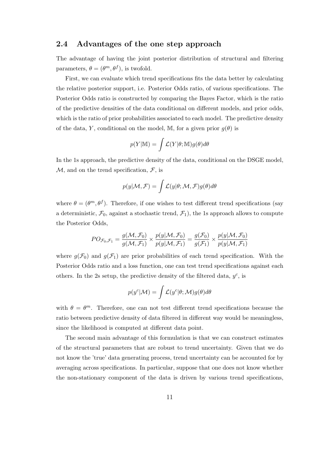#### 2.4 Advantages of the one step approach

The advantage of having the joint posterior distribution of structural and filtering parameters,  $\theta = (\theta^m, \theta^f)$ , is twofold.

First, we can evaluate which trend specifications fits the data better by calculating the relative posterior support, i.e. Posterior Odds ratio, of various specifications. The Posterior Odds ratio is constructed by comparing the Bayes Factor, which is the ratio of the predictive densities of the data conditional on different models, and prior odds, which is the ratio of prior probabilities associated to each model. The predictive density of the data, Y, conditional on the model, M, for a given prior  $g(\theta)$  is

$$
p(Y|\mathbb{M}) = \int \mathcal{L}(Y|\theta; \mathbb{M}) g(\theta) d\theta
$$

In the 1s approach, the predictive density of the data, conditional on the DSGE model,  $M$ , and on the trend specification,  $\mathcal{F}$ , is

$$
p(y|\mathcal{M}, \mathcal{F}) = \int \mathcal{L}(y|\theta; \mathcal{M}, \mathcal{F}) g(\theta) d\theta
$$

where  $\theta = (\theta^m, \theta^f)$ . Therefore, if one wishes to test different trend specifications (say a deterministic,  $\mathcal{F}_0$ , against a stochastic trend,  $\mathcal{F}_1$ ), the 1s approach allows to compute the Posterior Odds,

$$
PO_{\mathcal{F}_0,\mathcal{F}_1} = \frac{g(\mathcal{M},\mathcal{F}_0)}{g(\mathcal{M},\mathcal{F}_1)} \times \frac{p(y|\mathcal{M},\mathcal{F}_0)}{p(y|\mathcal{M},\mathcal{F}_1)} = \frac{g(\mathcal{F}_0)}{g(\mathcal{F}_1)} \times \frac{p(y|\mathcal{M},\mathcal{F}_0)}{p(y|\mathcal{M},\mathcal{F}_1)}
$$

where  $g(\mathcal{F}_0)$  and  $g(\mathcal{F}_1)$  are prior probabilities of each trend specification. With the Posterior Odds ratio and a loss function, one can test trend specifications against each others. In the 2s setup, the predictive density of the filtered data,  $y^c$ , is

$$
p(y^c|\mathcal{M}) = \int \mathcal{L}(y^c|\theta; \mathcal{M}) g(\theta) d\theta
$$

with  $\theta = \theta^m$ . Therefore, one can not test different trend specifications because the ratio between predictive density of data filtered in different way would be meaningless, since the likelihood is computed at different data point.

The second main advantage of this formulation is that we can construct estimates of the structural parameters that are robust to trend uncertainty. Given that we do not know the 'true' data generating process, trend uncertainty can be accounted for by averaging across specifications. In particular, suppose that one does not know whether the non-stationary component of the data is driven by various trend specifications,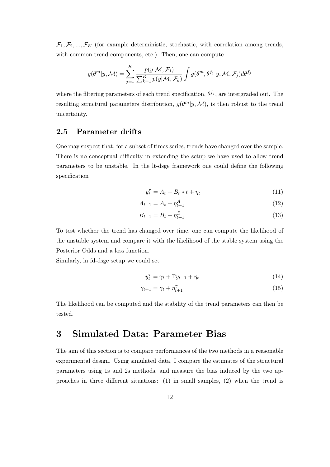$\mathcal{F}_1, \mathcal{F}_2, ..., \mathcal{F}_K$  (for example deterministic, stochastic, with correlation among trends, with common trend components, etc.). Then, one can compute

$$
g(\theta^m | y, \mathcal{M}) = \sum_{j=1}^K \frac{p(y | \mathcal{M}, \mathcal{F}_j)}{\sum_{k=1}^K p(y | \mathcal{M}, \mathcal{F}_k)} \int g(\theta^m, \theta^{f_j} | y, \mathcal{M}, \mathcal{F}_j) d\theta^{f_j}
$$

where the filtering parameters of each trend specification,  $\theta^{f_j}$ , are intergraded out. The resulting structural parameters distribution,  $g(\theta^m|y,\mathcal{M})$ , is then robust to the trend uncertainty.

### 2.5 Parameter drifts

One may suspect that, for a subset of times series, trends have changed over the sample. There is no conceptual difficulty in extending the setup we have used to allow trend parameters to be unstable. In the lt-dsge framework one could define the following specification

$$
y_t^\tau = A_t + B_t * t + \eta_t \tag{11}
$$

$$
A_{t+1} = A_t + \eta_{t+1}^A \tag{12}
$$

$$
B_{t+1} = B_t + \eta_{t+1}^B \tag{13}
$$

To test whether the trend has changed over time, one can compute the likelihood of the unstable system and compare it with the likelihood of the stable system using the Posterior Odds and a loss function.

Similarly, in fd-dsge setup we could set

$$
y_t^\tau = \gamma_t + \Gamma y_{t-1} + \eta_t \tag{14}
$$

$$
\gamma_{t+1} = \gamma_t + \eta_{t+1}^{\gamma} \tag{15}
$$

The likelihood can be computed and the stability of the trend parameters can then be tested.

# 3 Simulated Data: Parameter Bias

The aim of this section is to compare performances of the two methods in a reasonable experimental design. Using simulated data, I compare the estimates of the structural parameters using 1s and 2s methods, and measure the bias induced by the two approaches in three different situations: (1) in small samples, (2) when the trend is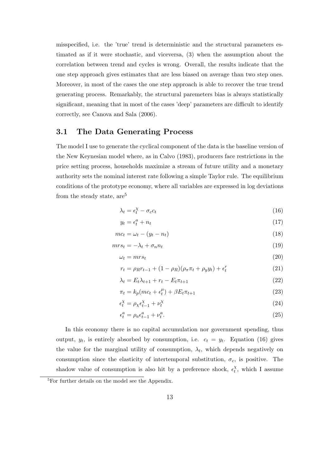misspecified, i.e. the 'true' trend is deterministic and the structural parameters estimated as if it were stochastic, and viceversa, (3) when the assumption about the correlation between trend and cycles is wrong. Overall, the results indicate that the one step approach gives estimates that are less biased on average than two step ones. Moreover, in most of the cases the one step approach is able to recover the true trend generating process. Remarkably, the structural paremeters bias is always statistically significant, meaning that in most of the cases 'deep' parameters are difficult to identify correctly, see Canova and Sala (2006).

### 3.1 The Data Generating Process

The model I use to generate the cyclical component of the data is the baseline version of the New Keynesian model where, as in Calvo (1983), producers face restrictions in the price setting process, households maximize a stream of future utility and a monetary authority sets the nominal interest rate following a simple Taylor rule. The equilibrium conditions of the prototype economy, where all variables are expressed in log deviations from the steady state, are<sup>5</sup>

$$
\lambda_t = \epsilon_t^{\chi} - \sigma_c c_t \tag{16}
$$

$$
y_t = \epsilon_t^a + n_t \tag{17}
$$

$$
mc_t = \omega_t - (y_t - n_t) \tag{18}
$$

$$
mrs_t = -\lambda_t + \sigma_n n_t \tag{19}
$$

$$
\omega_t = mrs_t \tag{20}
$$

$$
r_t = \rho_R r_{t-1} + (1 - \rho_R)(\rho_\pi \pi_t + \rho_y y_t) + \epsilon_t^r
$$
 (21)

$$
\lambda_t = E_t \lambda_{t+1} + r_t - E_t \pi_{t+1} \tag{22}
$$

$$
\pi_t = k_p(mc_t + \epsilon_t^{\mu}) + \beta E_t \pi_{t+1}
$$
\n(23)

$$
\epsilon_t^{\chi} = \rho_{\chi} \epsilon_{t-1}^{\chi} + \nu_t^{\chi} \tag{24}
$$

$$
\epsilon_t^a = \rho_a \epsilon_{t-1}^a + \nu_t^a. \tag{25}
$$

In this economy there is no capital accumulation nor government spending, thus output,  $y_t$ , is entirely absorbed by consumption, i.e.  $c_t = y_t$ . Equation (16) gives the value for the marginal utility of consumption,  $\lambda_t$ , which depends negatively on consumption since the elasticity of intertemporal substitution,  $\sigma_c$ , is positive. The shadow value of consumption is also hit by a preference shock,  $\epsilon_t^{\chi}$  $_t^{\chi}$ , which I assume

<sup>5</sup>For further details on the model see the Appendix.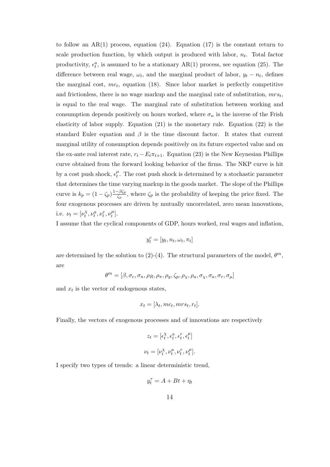to follow an  $AR(1)$  process, equation (24). Equation (17) is the constant return to scale production function, by which output is produced with labor,  $n_t$ . Total factor productivity,  $\epsilon_t^a$ , is assumed to be a stationary AR(1) process, see equation (25). The difference between real wage,  $\omega_t$ , and the marginal product of labor,  $y_t - n_t$ , defines the marginal cost,  $mc_t$ , equation (18). Since labor market is perfectly competitive and frictionless, there is no wage markup and the marginal rate of substitution,  $mrs_t$ , is equal to the real wage. The marginal rate of substitution between working and consumption depends positively on hours worked, where  $\sigma_n$  is the inverse of the Frish elasticity of labor supply. Equation (21) is the monetary rule. Equation (22) is the standard Euler equation and  $\beta$  is the time discount factor. It states that current marginal utility of consumption depends positively on its future expected value and on the ex-ante real interest rate,  $r_t - E_t \pi_{t+1}$ . Equation (23) is the New Keynesian Phillips curve obtained from the forward looking behavior of the firms. The NKP curve is hit by a cost push shock,  $\epsilon_t^{\mu}$  $t<sup>\mu</sup>$ . The cost push shock is determined by a stochastic parameter that determines the time varying markup in the goods market. The slope of the Phillips curve is  $k_p = (1 - \zeta_p) \frac{1 - \beta \zeta_p}{\zeta_p}$  $\frac{\partial \mathcal{L}_{\mathcal{P}}}{\partial \mathcal{L}_{\mathcal{P}}}$ , where  $\mathcal{L}_{\mathcal{P}}$  is the probability of keeping the price fixed. The four exogenous processes are driven by mutually uncorrelated, zero mean innovations, i.e.  $\nu_t = [\nu_t^{\chi}]$  $\mathcal{X}_t, \nu_t^a, \nu_t^r, \nu_t^\mu$  $\binom{\mu}{t}$ .

I assume that the cyclical components of GDP, hours worked, real wages and inflation,

$$
y_t^c = [y_t, n_t, \omega_t, \pi_t]
$$

are determined by the solution to (2)-(4). The structural parameters of the model,  $\theta^m$ , are

$$
\theta^m = [\beta, \sigma_c, \sigma_n, \rho_R, \rho_\pi, \rho_y, \zeta_p, \rho_\chi, \rho_a, \sigma_\chi, \sigma_a, \sigma_r, \sigma_\mu]
$$

and  $x_t$  is the vector of endogenous states,

$$
x_t = [\lambda_t, mc_t, mrs_t, r_t].
$$

Finally, the vectors of exogenous processes and of innovations are respectively

$$
z_t = [\epsilon_t^{\chi}, \epsilon_t^a, \epsilon_t^r, \epsilon_t^{\mu}]
$$
  

$$
\nu_t = [\nu_t^{\chi}, \nu_t^a, \nu_t^r, \nu_t^{\mu}].
$$

I specify two types of trends: a linear deterministic trend,

$$
y_t^\tau = A + Bt + \eta_t
$$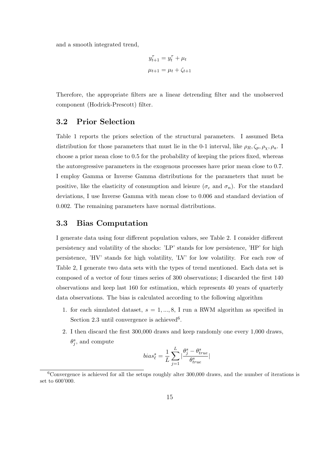and a smooth integrated trend,

$$
y_{t+1}^{\tau} = y_t^{\tau} + \mu_t
$$
  

$$
\mu_{t+1} = \mu_t + \zeta_{t+1}
$$

Therefore, the appropriate filters are a linear detrending filter and the unobserved component (Hodrick-Prescott) filter.

### 3.2 Prior Selection

Table 1 reports the priors selection of the structural parameters. I assumed Beta distribution for those parameters that must lie in the 0-1 interval, like  $\rho_R, \zeta_p, \rho_\chi, \rho_a$ . I choose a prior mean close to 0.5 for the probability of keeping the prices fixed, whereas the autoregressive parameters in the exogenous processes have prior mean close to 0.7. I employ Gamma or Inverse Gamma distributions for the parameters that must be positive, like the elasticity of consumption and leisure ( $\sigma_c$  and  $\sigma_n$ ). For the standard deviations, I use Inverse Gamma with mean close to 0.006 and standard deviation of 0.002. The remaining parameters have normal distributions.

### 3.3 Bias Computation

I generate data using four different population values, see Table 2. I consider different persistency and volatility of the shocks: 'LP' stands for low persistence, 'HP' for high persistence, 'HV' stands for high volatility, 'LV' for low volatility. For each row of Table 2, I generate two data sets with the types of trend mentioned. Each data set is composed of a vector of four times series of 300 observations; I discarded the first 140 observations and keep last 160 for estimation, which represents 40 years of quarterly data observations. The bias is calculated according to the following algorithm

- 1. for each simulated dataset,  $s = 1, ..., 8$ , I run a RWM algorithm as specified in Section 2.3 until convergence is achieved<sup>6</sup>.
- 2. I then discard the first 300,000 draws and keep randomly one every 1,000 draws,  $\theta_j^s$ , and compute

$$
bias_{\ell}^{s} = \frac{1}{L} \sum_{j=1}^{L} |\frac{\theta_{j}^{s} - \theta_{true}^{s}}{\theta_{true}^{s}}|
$$

 $6$ Convergence is achieved for all the setups roughly alter 300,000 draws, and the number of iterations is set to 600'000.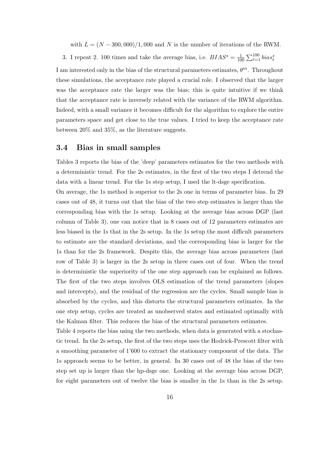with  $L = (N - 300, 000)/1,000$  and N is the number of iterations of the RWM.

3. I repeat 2. 100 times and take the average bias, i.e.  $BIAS^s = \frac{1}{10}$  $\frac{1}{100}\sum_{\ell=1}^{100} bias_{\ell}^s$ 

I am interested only in the bias of the structural parameters estimates,  $\theta^m$ . Throughout these simulations, the acceptance rate played a crucial role. I observed that the larger was the acceptance rate the larger was the bias; this is quite intuitive if we think that the acceptance rate is inversely related with the variance of the RWM algorithm. Indeed, with a small variance it becomes difficult for the algorithm to explore the entire parameters space and get close to the true values. I tried to keep the acceptance rate between 20% and 35%, as the literature suggests.

### 3.4 Bias in small samples

Tables 3 reports the bias of the 'deep' parameters estimates for the two methods with a deterministic trend. For the 2s estimates, in the first of the two steps I detrend the data with a linear trend. For the 1s step setup, I used the lt-dsge specification.

On average, the 1s method is superior to the 2s one in terms of parameter bias. In 29 cases out of 48, it turns out that the bias of the two step estimates is larger than the corresponding bias with the 1s setup. Looking at the average bias across DGP (last column of Table 3), one can notice that in 8 cases out of 12 parameters estimates are less biased in the 1s that in the 2s setup. In the 1s setup the most difficult parameters to estimate are the standard deviations, and the corresponding bias is larger for the 1s than for the 2s framework. Despite this, the average bias across parameters (last row of Table 3) is larger in the 2s setup in three cases out of four. When the trend is deterministic the superiority of the one step approach can be explained as follows. The first of the two steps involves OLS estimation of the trend parameters (slopes and intercepts), and the residual of the regression are the cycles. Small sample bias is absorbed by the cycles, and this distorts the structural parameters estimates. In the one step setup, cycles are treated as unobserved states and estimated optimally with the Kalman filter. This reduces the bias of the structural parameters estimates.

Table 4 reports the bias using the two methods, when data is generated with a stochastic trend. In the 2s setup, the first of the two steps uses the Hodrick-Prescott filter with a smoothing parameter of 1'600 to extract the stationary component of the data. The 1s approach seems to be better, in general. In 30 cases out of 48 the bias of the two step set up is larger than the hp-dsge one. Looking at the average bias across DGP, for eight parameters out of twelve the bias is smaller in the 1s than in the 2s setup.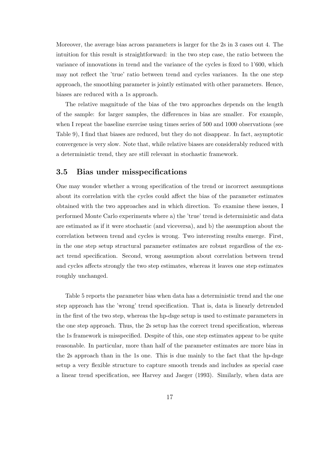Moreover, the average bias across parameters is larger for the 2s in 3 cases out 4. The intuition for this result is straightforward: in the two step case, the ratio between the variance of innovations in trend and the variance of the cycles is fixed to 1'600, which may not reflect the 'true' ratio between trend and cycles variances. In the one step approach, the smoothing parameter is jointly estimated with other parameters. Hence, biases are reduced with a 1s approach.

The relative magnitude of the bias of the two approaches depends on the length of the sample: for larger samples, the differences in bias are smaller. For example, when I repeat the baseline exercise using times series of 500 and 1000 observations (see Table 9), I find that biases are reduced, but they do not disappear. In fact, asymptotic convergence is very slow. Note that, while relative biases are considerably reduced with a deterministic trend, they are still relevant in stochastic framework.

#### 3.5 Bias under misspecifications

One may wonder whether a wrong specification of the trend or incorrect assumptions about its correlation with the cycles could affect the bias of the parameter estimates obtained with the two approaches and in which direction. To examine these issues, I performed Monte Carlo experiments where a) the 'true' trend is deterministic and data are estimated as if it were stochastic (and viceversa), and b) the assumption about the correlation between trend and cycles is wrong. Two interesting results emerge. First, in the one step setup structural parameter estimates are robust regardless of the exact trend specification. Second, wrong assumption about correlation between trend and cycles affects strongly the two step estimates, whereas it leaves one step estimates roughly unchanged.

Table 5 reports the parameter bias when data has a deterministic trend and the one step approach has the 'wrong' trend specification. That is, data is linearly detrended in the first of the two step, whereas the hp-dsge setup is used to estimate parameters in the one step approach. Thus, the 2s setup has the correct trend specification, whereas the 1s framework is misspecified. Despite of this, one step estimates appear to be quite reasonable. In particular, more than half of the parameter estimates are more bias in the 2s approach than in the 1s one. This is due mainly to the fact that the hp-dsge setup a very flexible structure to capture smooth trends and includes as special case a linear trend specification, see Harvey and Jaeger (1993). Similarly, when data are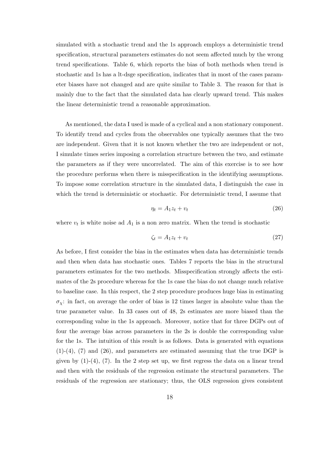simulated with a stochastic trend and the 1s approach employs a deterministic trend specification, structural parameters estimates do not seem affected much by the wrong trend specifications. Table 6, which reports the bias of both methods when trend is stochastic and 1s has a lt-dsge specification, indicates that in most of the cases parameter biases have not changed and are quite similar to Table 3. The reason for that is mainly due to the fact that the simulated data has clearly upward trend. This makes the linear deterministic trend a reasonable approximation.

As mentioned, the data I used is made of a cyclical and a non stationary component. To identify trend and cycles from the observables one typically assumes that the two are independent. Given that it is not known whether the two are independent or not, I simulate times series imposing a correlation structure between the two, and estimate the parameters as if they were uncorrelated. The aim of this exercise is to see how the procedure performs when there is misspecification in the identifying assumptions. To impose some correlation structure in the simulated data, I distinguish the case in which the trend is deterministic or stochastic. For deterministic trend, I assume that

$$
\eta_t = A_1 z_t + v_t \tag{26}
$$

where  $v_t$  is white noise ad  $A_1$  is a non zero matrix. When the trend is stochastic

$$
\zeta_t = A_1 z_t + v_t \tag{27}
$$

As before, I first consider the bias in the estimates when data has deterministic trends and then when data has stochastic ones. Tables 7 reports the bias in the structural parameters estimates for the two methods. Misspecification strongly affects the estimates of the 2s procedure whereas for the 1s case the bias do not change much relative to baseline case. In this respect, the 2 step procedure produces huge bias in estimating  $\sigma_{\chi}$ : in fact, on average the order of bias is 12 times larger in absolute value than the true parameter value. In 33 cases out of 48, 2s estimates are more biased than the corresponding value in the 1s approach. Moreover, notice that for three DGPs out of four the average bias across parameters in the 2s is double the corresponding value for the 1s. The intuition of this result is as follows. Data is generated with equations  $(1)-(4)$ ,  $(7)$  and  $(26)$ , and parameters are estimated assuming that the true DGP is given by  $(1)-(4)$ ,  $(7)$ . In the 2 step set up, we first regress the data on a linear trend and then with the residuals of the regression estimate the structural parameters. The residuals of the regression are stationary; thus, the OLS regression gives consistent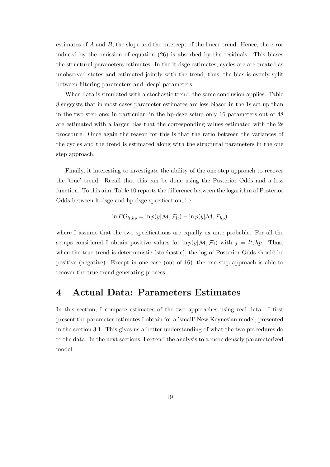estimates of  $A$  and  $B$ , the slope and the intercept of the linear trend. Hence, the error induced by the omission of equation (26) is absorbed by the residuals. This biases the structural parameters estimates. In the lt-dsge estimates, cycles are are treated as unobserved states and estimated jointly with the trend; thus, the bias is evenly split between filtering parameters and 'deep' parameters.

When data is simulated with a stochastic trend, the same conclusion applies. Table 8 suggests that in most cases parameter estimates are less biased in the 1s set up than in the two step one; in particular, in the hp-dsge setup only 16 parameters out of 48 are estimated with a larger bias that the corresponding values estimated with the 2s procedure. Once again the reason for this is that the ratio between the variances of the cycles and the trend is estimated along with the structural parameters in the one step approach.

Finally, it interesting to investigate the ability of the one step approach to recover the 'true' trend. Recall that this can be done using the Posterior Odds and a loss function. To this aim, Table 10 reports the difference between the logarithm of Posterior Odds between lt-dsge and hp-dsge specification, i.e.

$$
\ln PO_{lt,hp} = \ln p(y|\mathcal{M}, \mathcal{F}_{lt}) - \ln p(y|\mathcal{M}, \mathcal{F}_{hp})
$$

where I assume that the two specifications are equally ex ante probable. For all the setups considered I obtain positive values for  $\ln p(y|\mathcal{M}, \mathcal{F}_j)$  with  $j = lt, hp$ . Thus, when the true trend is deterministic (stochastic), the log of Posterior Odds should be positive (negative). Except in one case (out of 16), the one step approach is able to recover the true trend generating process.

## 4 Actual Data: Parameters Estimates

In this section, I compare estimates of the two approaches using real data. I first present the parameter estimates I obtain for a 'small' New Keynesian model, presented in the section 3.1. This gives us a better understanding of what the two procedures do to the data. In the next sections, I extend the analysis to a more densely parameterized model.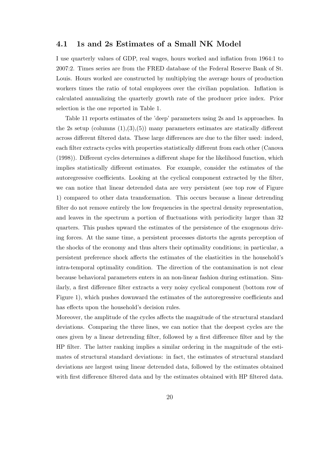### 4.1 1s and 2s Estimates of a Small NK Model

I use quarterly values of GDP, real wages, hours worked and inflation from 1964:1 to 2007:2. Times series are from the FRED database of the Federal Reserve Bank of St. Louis. Hours worked are constructed by multiplying the average hours of production workers times the ratio of total employees over the civilian population. Inflation is calculated annualizing the quarterly growth rate of the producer price index. Prior selection is the one reported in Table 1.

Table 11 reports estimates of the 'deep' parameters using 2s and 1s approaches. In the 2s setup (columns  $(1), (3), (5)$ ) many parameters estimates are statically different across different filtered data. These large differences are due to the filter used: indeed, each filter extracts cycles with properties statistically different from each other (Canova (1998)). Different cycles determines a different shape for the likelihood function, which implies statistically different estimates. For example, consider the estimates of the autoregressive coefficients. Looking at the cyclical component extracted by the filter, we can notice that linear detrended data are very persistent (see top row of Figure 1) compared to other data transformation. This occurs because a linear detrending filter do not remove entirely the low frequencies in the spectral density representation, and leaves in the spectrum a portion of fluctuations with periodicity larger than 32 quarters. This pushes upward the estimates of the persistence of the exogenous driving forces. At the same time, a persistent processes distorts the agents perception of the shocks of the economy and thus alters their optimality conditions; in particular, a persistent preference shock affects the estimates of the elasticities in the household's intra-temporal optimality condition. The direction of the contamination is not clear because behavioral parameters enters in an non-linear fashion during estimation. Similarly, a first difference filter extracts a very noisy cyclical component (bottom row of Figure 1), which pushes downward the estimates of the autoregressive coefficients and has effects upon the household's decision rules.

Moreover, the amplitude of the cycles affects the magnitude of the structural standard deviations. Comparing the three lines, we can notice that the deepest cycles are the ones given by a linear detrending filter, followed by a first difference filter and by the HP filter. The latter ranking implies a similar ordering in the magnitude of the estimates of structural standard deviations: in fact, the estimates of structural standard deviations are largest using linear detrended data, followed by the estimates obtained with first difference filtered data and by the estimates obtained with HP filtered data.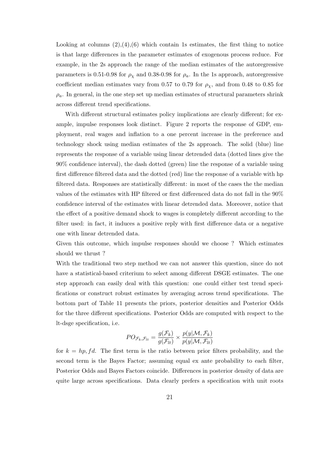Looking at columns  $(2),(4),(6)$  which contain 1s estimates, the first thing to notice is that large differences in the parameter estimates of exogenous process reduce. For example, in the 2s approach the range of the median estimates of the autoregressive parameters is 0.51-0.98 for  $\rho_{\chi}$  and 0.38-0.98 for  $\rho_{a}$ . In the 1s approach, autoregressive coefficient median estimates vary from 0.57 to 0.79 for  $\rho_{\chi}$ , and from 0.48 to 0.85 for  $\rho_a$ . In general, in the one step set up median estimates of structural parameters shrink across different trend specifications.

With different structural estimates policy implications are clearly different; for example, impulse responses look distinct. Figure 2 reports the response of GDP, employment, real wages and inflation to a one percent increase in the preference and technology shock using median estimates of the 2s approach. The solid (blue) line represents the response of a variable using linear detrended data (dotted lines give the 90% confidence interval), the dash dotted (green) line the response of a variable using first difference filtered data and the dotted (red) line the response of a variable with hp filtered data. Responses are statistically different: in most of the cases the the median values of the estimates with HP filtered or first differenced data do not fall in the 90% confidence interval of the estimates with linear detrended data. Moreover, notice that the effect of a positive demand shock to wages is completely different according to the filter used: in fact, it induces a positive reply with first difference data or a negative one with linear detrended data.

Given this outcome, which impulse responses should we choose ? Which estimates should we thrust ?

With the traditional two step method we can not answer this question, since do not have a statistical-based criterium to select among different DSGE estimates. The one step approach can easily deal with this question: one could either test trend specifications or construct robust estimates by averaging across trend specifications. The bottom part of Table 11 presents the priors, posterior densities and Posterior Odds for the three different specifications. Posterior Odds are computed with respect to the lt-dsge specification, i.e.

$$
PO_{\mathcal{F}_k, \mathcal{F}_{lt}} = \frac{g(\mathcal{F}_k)}{g(\mathcal{F}_{lt})} \times \frac{p(y|\mathcal{M}, \mathcal{F}_k)}{p(y|\mathcal{M}, \mathcal{F}_{lt})}
$$

for  $k = hp, fd$ . The first term is the ratio between prior filters probability, and the second term is the Bayes Factor; assuming equal ex ante probability to each filter, Posterior Odds and Bayes Factors coincide. Differences in posterior density of data are quite large across specifications. Data clearly prefers a specification with unit roots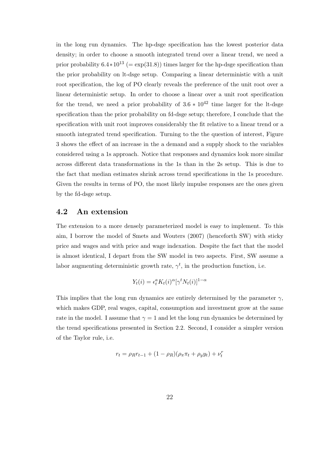in the long run dynamics. The hp-dsge specification has the lowest posterior data density; in order to choose a smooth integrated trend over a linear trend, we need a prior probability  $6.4 * 10^{13}$  (= exp(31.8)) times larger for the hp-dsge specification than the prior probability on lt-dsge setup. Comparing a linear deterministic with a unit root specification, the log of PO clearly reveals the preference of the unit root over a linear deterministic setup. In order to choose a linear over a unit root specification for the trend, we need a prior probability of  $3.6 * 10^{42}$  time larger for the lt-dsge specification than the prior probability on fd-dsge setup; therefore, I conclude that the specification with unit root improves considerably the fit relative to a linear trend or a smooth integrated trend specification. Turning to the the question of interest, Figure 3 shows the effect of an increase in the a demand and a supply shock to the variables considered using a 1s approach. Notice that responses and dynamics look more similar across different data transformations in the 1s than in the 2s setup. This is due to the fact that median estimates shrink across trend specifications in the 1s procedure. Given the results in terms of PO, the most likely impulse responses are the ones given by the fd-dsge setup.

#### 4.2 An extension

The extension to a more densely parameterized model is easy to implement. To this aim, I borrow the model of Smets and Wouters (2007) (henceforth SW) with sticky price and wages and with price and wage indexation. Despite the fact that the model is almost identical, I depart from the SW model in two aspects. First, SW assume a labor augmenting deterministic growth rate,  $\gamma^t$ , in the production function, i.e.

$$
Y_t(i) = \epsilon_t^a K_t(i)^\alpha [\gamma^t N_t(i)]^{1-\alpha}
$$

This implies that the long run dynamics are entirely determined by the parameter  $\gamma$ , which makes GDP, real wages, capital, consumption and investment grow at the same rate in the model. I assume that  $\gamma = 1$  and let the long run dynamics be determined by the trend specifications presented in Section 2.2. Second, I consider a simpler version of the Taylor rule, i.e.

$$
r_t = \rho_R r_{t-1} + (1 - \rho_R)(\rho_\pi \pi_t + \rho_y y_t) + \nu_t^r
$$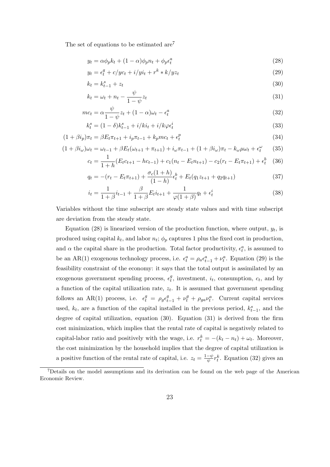The set of equations to be estimated are<sup>7</sup>

$$
y_t = \alpha \phi_p k_t + (1 - \alpha) \phi_p n_t + \phi_p \epsilon_t^a \tag{28}
$$

$$
y_t = \epsilon_t^g + c/yc_t + i/yi_t + r^k * k/yz_t \tag{29}
$$

$$
k_t = k_{t-1}^s + z_t \tag{30}
$$

$$
k_t = \omega_t + n_t - \frac{\psi}{1 - \psi} z_t \tag{31}
$$

$$
mc_t = \alpha \frac{\psi}{1 - \psi} z_t + (1 - \alpha)\omega_t - \epsilon_t^a \tag{32}
$$

$$
k_t^s = (1 - \delta)k_{t-1}^s + i/ki_t + i/k\varphi\epsilon_t^i
$$
\n(33)

$$
(1 + \beta i_p)\pi_t = \beta E_t \pi_{t+1} + i_p \pi_{t-1} + k_p mc_t + \epsilon_t^p
$$
\n(34)

$$
(1+\beta i_{\omega})\omega_t = \omega_{t-1} + \beta E_t(\omega_{t+1} + \pi_{t+1}) + i_{\omega}\pi_{t-1} + (1+\beta i_{\omega})\pi_t - k_{\omega}\mu\omega_t + \epsilon_t^{\omega}
$$
 (35)

$$
c_t = \frac{1}{1+h}(E_t c_{t+1} - h c_{t-1}) + c_1(n_t - E_t n_{t+1}) - c_2(r_t - E_t \pi_{t+1}) + \epsilon_t^b \quad (36)
$$

$$
q_t = -(r_t - E_t \pi_{t+1}) + \frac{\sigma_c (1+h)}{(1-h)} \epsilon_t^b + E_t (q_1 z_{t+1} + q_2 q_{t+1})
$$
\n(37)

$$
i_t = \frac{1}{1+\beta}i_{t-1} + \frac{\beta}{1+\beta}E_t i_{t+1} + \frac{1}{\varphi(1+\beta)}q_t + \epsilon_t^i
$$
 (38)

Variables without the time subscript are steady state values and with time subscript are deviation from the steady state.

Equation (28) is linearized version of the production function, where output,  $y_t$ , is produced using capital  $k_t$ , and labor  $n_t$ ;  $\phi_p$  captures 1 plus the fixed cost in production, and  $\alpha$  the capital share in the production. Total factor productivity,  $\epsilon_t^a$ , is assumed to be an AR(1) exogenous technology process, i.e.  $\epsilon_t^a = \rho_a \epsilon_{t-1}^a + \nu_t^a$ . Equation (29) is the feasibility constraint of the economy: it says that the total output is assimilated by an exogenous government spending process,  $\epsilon_t^g$  $t_t^g$ , investment,  $i_t$ , consumption,  $c_t$ , and by a function of the capital utilization rate,  $z_t$ . It is assumed that government spending follows an AR(1) process, i.e.  $\epsilon_t^g = \rho_g \epsilon_{t-1}^g + \nu_t^g + \rho_{ga} \nu_t^a$ . Current capital services used,  $k_t$ , are a function of the capital installed in the previous period,  $k_{t-1}^s$ , and the degree of capital utilization, equation (30). Equation (31) is derived from the firm cost minimization, which implies that the rental rate of capital is negatively related to capital-labor ratio and positively with the wage, i.e.  $r_t^k = -(k_t - n_t) + \omega_t$ . Moreover, the cost minimization by the household implies that the degree of capital utilization is a positive function of the rental rate of capital, i.e.  $z_t = \frac{1-\psi}{\psi}$  $\frac{-\psi}{\psi} r_t^k$ . Equation (32) gives an

<sup>7</sup>Details on the model assumptions and its derivation can be found on the web page of the American Economic Review.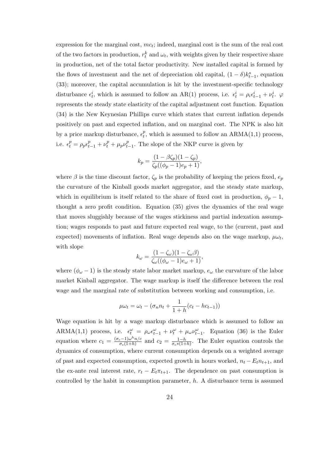$\alpha$  expression for the marginal cost,  $mc_t$ ; indeed, marginal cost is the sum of the real cost of the two factors in production,  $r_t^k$  and  $\omega_t$ , with weights given by their respective share in production, net of the total factor productivity. New installed capital is formed by the flows of investment and the net of depreciation old capital,  $(1 - \delta)k_{t-1}^s$ , equation (33); moreover, the capital accumulation is hit by the investment-specific technology disturbance  $\epsilon_t^i$ , which is assumed to follow an AR(1) process, i.e.  $\epsilon_t^i = \rho_i \epsilon_{t-1}^i + \nu_t^i$ .  $\varphi$ represents the steady state elasticity of the capital adjustment cost function. Equation (34) is the New Keynesian Phillips curve which states that current inflation depends positively on past and expected inflation, and on marginal cost. The NPK is also hit by a price markup disturbance,  $\epsilon_t^p$  $_t^p$ , which is assumed to follow an  $ARMA(1,1)$  process, i.e.  $\epsilon_t^p = \rho_p \epsilon_{t-1}^p + \nu_t^p + \mu_p \nu_t^p$  $_{t-1}^p$ . The slope of the NKP curve is given by

$$
k_p = \frac{(1 - \beta \zeta_p)(1 - \zeta_p)}{\zeta_p((\phi_p - 1)e_p + 1)},
$$

where  $\beta$  is the time discount factor,  $\zeta_p$  is the probability of keeping the prices fixed,  $e_p$ the curvature of the Kinball goods market aggregator, and the steady state markup, which in equilibrium is itself related to the share of fixed cost in production,  $\phi_p - 1$ , thought a zero profit condition. Equation (35) gives the dynamics of the real wage that moves sluggishly because of the wages stickiness and partial indexation assumption; wages responds to past and future expected real wage, to the (current, past and expected) movements of inflation. Real wage depends also on the wage markup,  $\mu\omega_t$ , with slope

$$
k_{\omega} = \frac{(1 - \zeta_{\omega})(1 - \zeta_{\omega}\beta)}{\zeta_{\omega}((\phi_{\omega} - 1)e_{\omega} + 1)},
$$

where  $(\phi_{\omega} - 1)$  is the steady state labor market markup,  $e_{\omega}$  the curvature of the labor market Kinball aggregator. The wage markup is itself the difference between the real wage and the marginal rate of substitution between working and consumption, i.e.

$$
\mu \omega_t = \omega_t - (\sigma_n n_t + \frac{1}{1+h}(c_t - h c_{t-1}))
$$

Wage equation is hit by a wage markup disturbance which is assumed to follow an ARMA(1,1) process, i.e.  $\epsilon_t^{\omega} = \rho_{\omega} \epsilon_{t-1}^{\omega} + \nu_t^{\omega} + \mu_{\omega} \nu_{t-1}^{\omega}$ . Equation (36) is the Euler equation where  $c_1 = \frac{(\sigma_c - 1)\omega^h n/c}{\sigma_c(1+h)}$  $\frac{c-1)\omega^n n/c}{\sigma_c(1+h)}$  and  $c_2 = \frac{1-h}{\sigma_c*(1+h)}$  $\frac{1-h}{\sigma_c*(1+h)}$ . The Euler equation controls the dynamics of consumption, where current consumption depends on a weighted average of past and expected consumption, expected growth in hours worked,  $n_t - E_t n_{t+1}$ , and the ex-ante real interest rate,  $r_t - E_t \pi_{t+1}$ . The dependence on past consumption is controlled by the habit in consumption parameter,  $h$ . A disturbance term is assumed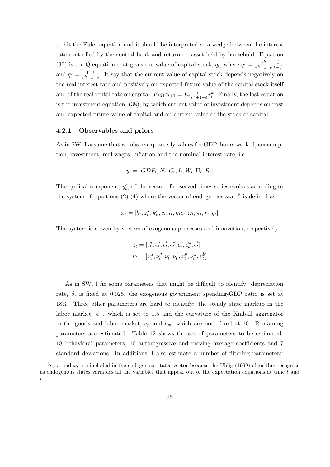to hit the Euler equation and it should be interpreted as a wedge between the interest rate controlled by the central bank and return on asset held by household. Equation (37) is the Q equation that gives the value of capital stock,  $q_t$ , where  $q_1 = \frac{r^k}{r^k+1}$  $r^k+1-\delta$ ψ  $1-\psi$ and  $q_1 = \frac{1-\delta}{r^k+1}$  $\frac{1-\delta}{r^k+1-\delta}$ . It say that the current value of capital stock depends negatively on the real interest rate and positively on expected future value of the capital stock itself and of the real rental rate on capital,  $E_t q_1 z_{t+1} = E_t \frac{r^k}{r^{k+1}}$  $\frac{r^k}{r^k+1-\delta}r_t^k$ . Finally, the last equation is the investment equation, (38), by which current value of investment depends on past and expected future value of capital and on current value of the stock of capital.

#### 4.2.1 Observables and priors

As in SW, I assume that we observe quarterly values for GDP, hours worked, consumption, investment, real wages, inflation and the nominal interest rate, i.e.

$$
y_t = [GDP_t, N_t, C_t, I_t, W_t, \Pi_t, R_t]
$$

The cyclical component,  $y_t^c$ , of the vector of observed times series evolves according to the system of equations  $(2)-(4)$  where the vector of endogenous state<sup>8</sup> is defined as

$$
x_t = [k_t, z_t^k, k_t^p, c_t, i_t, mc_t, \omega_t, \pi_t, r_t, q_t]
$$

The system is driven by vectors of exogenous processes and innovation, respectively

$$
z_t = [\epsilon_t^a, \epsilon_t^g, \epsilon_t^i, \epsilon_t^r, \epsilon_t^p, \epsilon_t^{\omega}, \epsilon_t^b]
$$
  

$$
\nu_t = [\nu_t^a, \nu_t^g, \nu_t^i, \nu_t^r, \nu_t^p, \nu_t^{\omega}, \nu_t^b]
$$

As in SW, I fix some parameters that might be difficult to identify: depreciation rate,  $\delta$ , is fixed at 0.025, the exogenous government spending-GDP ratio is set at 18%. Three other parameters are hard to identify: the steady state markup in the labor market,  $\phi_{\omega}$ , which is set to 1.5 and the curvature of the Kinball aggregator in the goods and labor market,  $e_p$  and  $e_w$ , which are both fixed at 10. Remaining parameters are estimated. Table 12 shows the set of parameters to be estimated: 18 behavioral parameters, 10 autoregressive and moving average coefficients and 7 standard deviations. In additions, I also estimate a number of filtering parameters;

 ${}^8c_t, i_t$  and  $\omega_t$  are included in the endogenous states vector because the Uhlig (1999) algorithm recognize as endogenous states variables all the variables that appear out of the expectation equations at time t and  $t-1$ .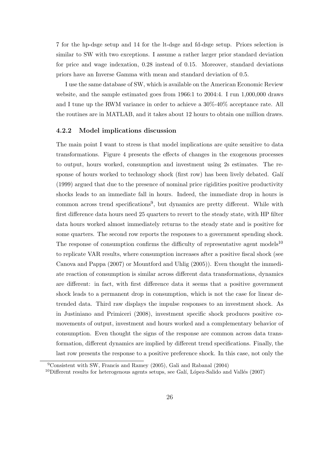7 for the hp-dsge setup and 14 for the lt-dsge and fd-dsge setup. Priors selection is similar to SW with two exceptions. I assume a rather larger prior standard deviation for price and wage indexation, 0.28 instead of 0.15. Moreover, standard deviations priors have an Inverse Gamma with mean and standard deviation of 0.5.

I use the same database of SW, which is available on the American Economic Review website, and the sample estimated goes from 1966:1 to 2004:4. I run 1,000,000 draws and I tune up the RWM variance in order to achieve a 30%-40% acceptance rate. All the routines are in MATLAB, and it takes about 12 hours to obtain one million draws.

#### 4.2.2 Model implications discussion

The main point I want to stress is that model implications are quite sensitive to data transformations. Figure 4 presents the effects of changes in the exogenous processes to output, hours worked, consumption and investment using 2s estimates. The response of hours worked to technology shock (first row) has been lively debated. Galí (1999) argued that due to the presence of nominal price rigidities positive productivity shocks leads to an immediate fall in hours. Indeed, the immediate drop in hours is common across trend specifications<sup>9</sup>, but dynamics are pretty different. While with first difference data hours need 25 quarters to revert to the steady state, with HP filter data hours worked almost immediately returns to the steady state and is positive for some quarters. The second row reports the responses to a government spending shock. The response of consumption confirms the difficulty of representative agent models $^{10}$ to replicate VAR results, where consumption increases after a positive fiscal shock (see Canova and Pappa (2007) or Mountford and Uhlig (2005)). Even thought the immediate reaction of consumption is similar across different data transformations, dynamics are different: in fact, with first difference data it seems that a positive government shock leads to a permanent drop in consumption, which is not the case for linear detrended data. Third raw displays the impulse responses to an investment shock. As in Justiniano and Primiceri (2008), investment specific shock produces positive comovements of output, investment and hours worked and a complementary behavior of consumption. Even thought the signs of the response are common across data transformation, different dynamics are implied by different trend specifications. Finally, the last row presents the response to a positive preference shock. In this case, not only the

<sup>9</sup>Consistent with SW, Francis and Ramey (2005), Gali and Rabanal (2004)

 $10$ Different results for heterogenous agents setups, see Galí, López-Salido and Vallés (2007)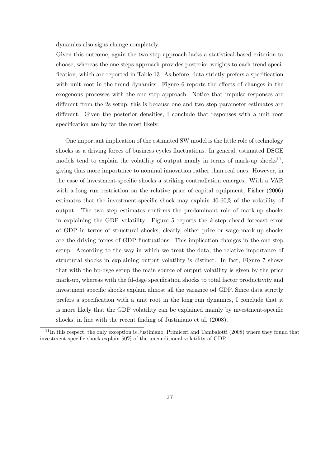dynamics also signs change completely.

Given this outcome, again the two step approach lacks a statistical-based criterion to choose, whereas the one steps approach provides posterior weights to each trend specification, which are reported in Table 13. As before, data strictly prefers a specification with unit root in the trend dynamics. Figure 6 reports the effects of changes in the exogenous processes with the one step approach. Notice that impulse responses are different from the 2s setup; this is because one and two step parameter estimates are different. Given the posterior densities, I conclude that responses with a unit root specification are by far the most likely.

One important implication of the estimated SW model is the little role of technology shocks as a driving forces of business cycles fluctuations. In general, estimated DSGE models tend to explain the volatility of output manly in terms of mark-up shocks<sup>11</sup>, giving thus more importance to nominal innovation rather than real ones. However, in the case of investment-specific shocks a striking contradiction emerges. With a VAR with a long run restriction on the relative price of capital equipment, Fisher (2006) estimates that the investment-specific shock may explain 40-60% of the volatility of output. The two step estimates confirms the predominant role of mark-up shocks in explaining the GDP volatility. Figure  $5$  reports the  $k$ -step ahead forecast error of GDP in terms of structural shocks; clearly, either price or wage mark-up shocks are the driving forces of GDP fluctuations. This implication changes in the one step setup. According to the way in which we treat the data, the relative importance of structural shocks in explaining output volatility is distinct. In fact, Figure 7 shows that with the hp-dsge setup the main source of output volatility is given by the price mark-up, whereas with the fd-dsge specification shocks to total factor productivity and investment specific shocks explain almost all the variance od GDP. Since data strictly prefers a specification with a unit root in the long run dynamics, I conclude that it is more likely that the GDP volatility can be explained mainly by investment-specific shocks, in line with the recent finding of Justiniano et al. (2008).

<sup>11</sup>In this respect, the only exception is Justiniano, Primiceri and Tambalotti (2008) where they found that investment specific shock explain 50% of the unconditional volatility of GDP.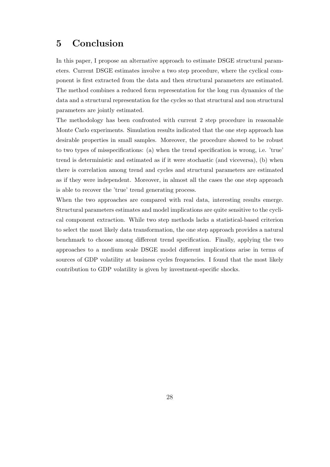# 5 Conclusion

In this paper, I propose an alternative approach to estimate DSGE structural parameters. Current DSGE estimates involve a two step procedure, where the cyclical component is first extracted from the data and then structural parameters are estimated. The method combines a reduced form representation for the long run dynamics of the data and a structural representation for the cycles so that structural and non structural parameters are jointly estimated.

The methodology has been confronted with current 2 step procedure in reasonable Monte Carlo experiments. Simulation results indicated that the one step approach has desirable properties in small samples. Moreover, the procedure showed to be robust to two types of misspecifications: (a) when the trend specification is wrong, i.e. 'true' trend is deterministic and estimated as if it were stochastic (and viceversa), (b) when there is correlation among trend and cycles and structural parameters are estimated as if they were independent. Moreover, in almost all the cases the one step approach is able to recover the 'true' trend generating process.

When the two approaches are compared with real data, interesting results emerge. Structural parameters estimates and model implications are quite sensitive to the cyclical component extraction. While two step methods lacks a statistical-based criterion to select the most likely data transformation, the one step approach provides a natural benchmark to choose among different trend specification. Finally, applying the two approaches to a medium scale DSGE model different implications arise in terms of sources of GDP volatility at business cycles frequencies. I found that the most likely contribution to GDP volatility is given by investment-specific shocks.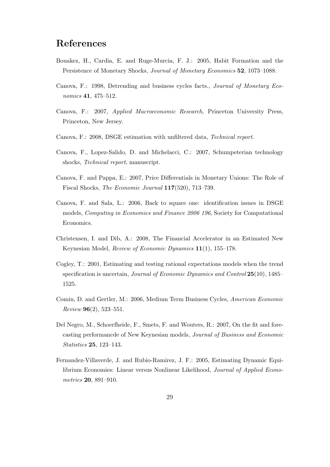# References

- Bouakez, H., Cardia, E. and Ruge-Murcia, F. J.: 2005, Habit Formation and the Persistence of Monetary Shocks, *Journal of Monetary Economics* 52, 1073–1088.
- Canova, F.: 1998, Detrending and business cycles facts., *Journal of Monetary Economics* 41, 475–512.
- Canova, F.: 2007, *Applied Macroeconomic Research*, Princeton University Press, Princeton, New Jersey.
- Canova, F.: 2008, DSGE estimation with unfiltered data, *Technical report*.
- Canova, F., Lopez-Salido, D. and Michelacci, C.: 2007, Schumpeterian technology shocks, *Technical report*, manuscript.
- Canova, F. and Pappa, E.: 2007, Price Differentials in Monetary Unions: The Role of Fiscal Shocks, *The Economic Journal* 117(520), 713–739.
- Canova, F. and Sala, L.: 2006, Back to square one: identification issues in DSGE models, *Computing in Economics and Finance 2006 196*, Society for Computational Economics.
- Christensen, I. and Dib, A.: 2008, The Financial Accelerator in an Estimated New Keynesian Model, *Review of Economic Dynamics* 11(1), 155–178.
- Cogley, T.: 2001, Estimating and testing rational expectations models when the trend specification is uncertain, *Journal of Economic Dynamics and Control* 25(10), 1485– 1525.
- Comin, D. and Gertler, M.: 2006, Medium Term Business Cycles, *American Economic Review* 96(2), 523–551.
- Del Negro, M., Schoerfheide, F., Smets, F. and Wouters, R.: 2007, On the fit and forecasting performancde of New Keynesian models, *Journal of Business and Economic Statistics* 25, 123–143.
- Fernandez-Villaverde, J. and Rubio-Ramirez, J. F.: 2005, Estimating Dynamic Equilibrium Economies: Linear versus Nonlinear Likelihood, *Journal of Applied Econometrics* 20, 891–910.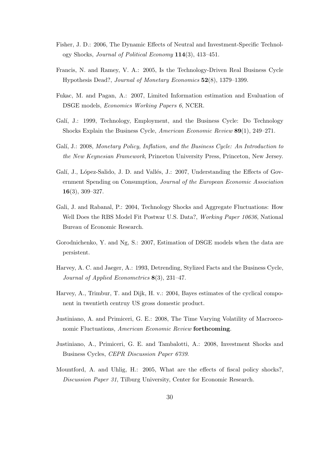- Fisher, J. D.: 2006, The Dynamic Effects of Neutral and Investment-Specific Technology Shocks, *Journal of Political Economy* 114(3), 413–451.
- Francis, N. and Ramey, V. A.: 2005, Is the Technology-Driven Real Business Cycle Hypothesis Dead?, *Journal of Monetary Economics* 52(8), 1379–1399.
- Fukac, M. and Pagan, A.: 2007, Limited Information estimation and Evaluation of DSGE models, *Economics Working Papers 6*, NCER.
- Galí, J.: 1999, Technology, Employment, and the Business Cycle: Do Technology Shocks Explain the Business Cycle, *American Economic Review* 89(1), 249–271.
- Galí, J.: 2008, *Monetary Policy, Inflation, and the Business Cycle: An Introduction to the New Keynesian Framework*, Princeton University Press, Princeton, New Jersey.
- Galí, J., López-Salido, J. D. and Vallés, J.: 2007, Understanding the Effects of Government Spending on Consumption, *Journal of the European Economic Association* 16(3), 309–327.
- Gali, J. and Rabanal, P.: 2004, Technology Shocks and Aggregate Fluctuations: How Well Does the RBS Model Fit Postwar U.S. Data?, *Working Paper 10636*, National Bureau of Economic Research.
- Gorodnichenko, Y. and Ng, S.: 2007, Estimation of DSGE models when the data are persistent.
- Harvey, A. C. and Jaeger, A.: 1993, Detrending, Stylized Facts and the Business Cycle, *Journal of Applied Econometrics* 8(3), 231–47.
- Harvey, A., Trimbur, T. and Dijk, H. v.: 2004, Bayes estimates of the cyclical component in twentieth centruy US gross domestic product.
- Justiniano, A. and Primiceri, G. E.: 2008, The Time Varying Volatility of Macroeconomic Fluctuations, *American Economic Review* forthcoming.
- Justiniano, A., Primiceri, G. E. and Tambalotti, A.: 2008, Investment Shocks and Business Cycles, *CEPR Discussion Paper 6739*.
- Mountford, A. and Uhlig, H.: 2005, What are the effects of fiscal policy shocks?, *Discussion Paper 31*, Tilburg University, Center for Economic Research.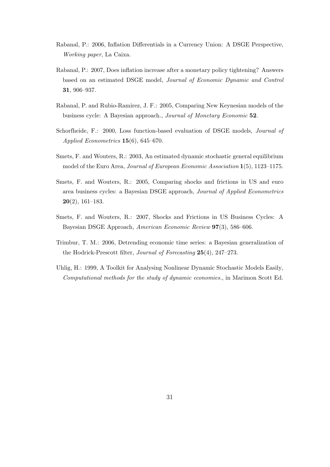- Rabanal, P.: 2006, Inflation Differentials in a Currency Union: A DSGE Perspective, *Working paper*, La Caixa.
- Rabanal, P.: 2007, Does inflation increase after a monetary policy tightening? Answers based on an estimated DSGE model, *Journal of Economic Dynamic and Control* 31, 906–937.
- Rabanal, P. and Rubio-Ramirez, J. F.: 2005, Comparing New Keynesian models of the business cycle: A Bayesian approach., *Journal of Monetary Economic* 52.
- Schorfheide, F.: 2000, Loss function-based evaluation of DSGE models, *Journal of Applied Econometrics* 15(6), 645–670.
- Smets, F. and Wouters, R.: 2003, An estimated dynamic stochastic general equilibrium model of the Euro Area, *Journal of European Economic Association* 1(5), 1123–1175.
- Smets, F. and Wouters, R.: 2005, Comparing shocks and frictions in US and euro area business cycles: a Bayesian DSGE approach, *Journal of Applied Econometrics*  $20(2)$ , 161–183.
- Smets, F. and Wouters, R.: 2007, Shocks and Frictions in US Business Cycles: A Bayesian DSGE Approach, *American Economic Review* 97(3), 586–606.
- Trimbur, T. M.: 2006, Detrending economic time series: a Bayesian generalization of the Hodrick-Prescott filter, *Journal of Forecasting* 25(4), 247–273.
- Uhlig, H.: 1999, A Toolkit for Analysing Nonlinear Dynamic Stochastic Models Easily, *Computational methods for the study of dynamic economies.*, in Marimon Scott Ed.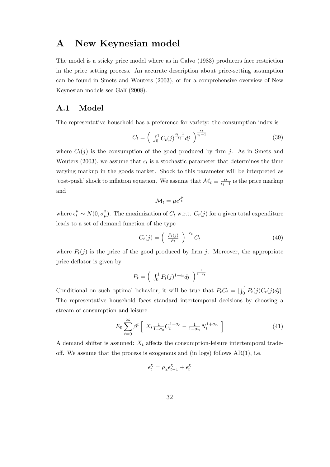# A New Keynesian model

The model is a sticky price model where as in Calvo (1983) producers face restriction in the price setting process. An accurate description about price-setting assumption can be found in Smets and Wouters (2003), or for a comprehensive overview of New Keynesian models see Galí (2008).

### A.1 Model

The representative household has a preference for variety: the consumption index is

$$
C_t = \left(\int_0^1 C_t(j)^{\frac{\epsilon_t - 1}{\epsilon_t}} dj\right)^{\frac{\epsilon_t}{\epsilon_t - 1}}
$$
\n(39)

where  $C_t(j)$  is the consumption of the good produced by firm j. As in Smets and Wouters (2003), we assume that  $\epsilon_t$  is a stochastic parameter that determines the time varying markup in the goods market. Shock to this parameter will be interpreted as 'cost-push' shock to inflation equation. We assume that  $\mathcal{M}_t \equiv \frac{\epsilon_t}{\epsilon_t - \epsilon_t}$  $\frac{\epsilon_t}{\epsilon_t-1}$  is the price markup and

$$
\mathcal{M}_t = \mu e^{\epsilon_t^{\mu}}
$$

where  $\epsilon_t^{\mu} \sim N(0, \sigma_{\mu}^2)$ . The maximization of  $C_t$  w.r.t.  $C_t(j)$  for a given total expenditure leads to a set of demand function of the type

$$
C_t(j) = \left(\begin{array}{c} P_t(j) \\ \overline{P_t} \end{array}\right)^{-\epsilon_t} C_t \tag{40}
$$

where  $P_t(j)$  is the price of the good produced by firm j. Moreover, the appropriate price deflator is given by

$$
P_t = \left(\int_0^1 P_t(j)^{1-\epsilon_t} dj\right)^{\frac{1}{1-\epsilon_t}}
$$

Conditional on such optimal behavior, it will be true that  $P_t C_t = \left[\int_0^1 P_t(j) C_t(j) dj\right]$ . The representative household faces standard intertemporal decisions by choosing a stream of consumption and leisure.

$$
E_0 \sum_{t=0}^{\infty} \beta^t \left[ X_t \frac{1}{1-\sigma_c} C_t^{1-\sigma_c} - \frac{1}{1+\sigma_n} N_t^{1+\sigma_n} \right]
$$
\n
$$
\tag{41}
$$

A demand shifter is assumed:  $X_t$  affects the consumption-leisure intertemporal tradeoff. We assume that the process is exogenous and (in logs) follows  $AR(1)$ , i.e.

$$
\epsilon_t^\chi = \rho_\chi \epsilon_{t-1}^\chi + \epsilon_t^\chi
$$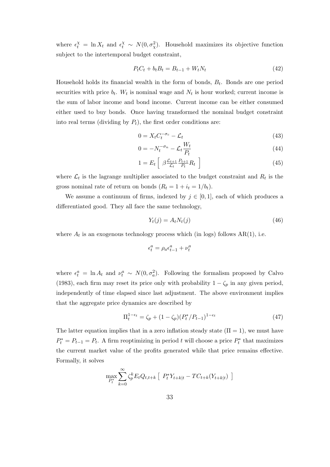where  $\epsilon_t^{\chi} = \ln X_t$  and  $\epsilon_t^{\chi} \sim N(0, \sigma_{\chi}^2)$ . Household maximizes its objective function subject to the intertemporal budget constraint,

$$
P_t C_t + b_t B_t = B_{t-1} + W_t N_t
$$
\n(42)

Household holds its financial wealth in the form of bonds,  $B_t$ . Bonds are one period securities with price  $b_t$ .  $W_t$  is nominal wage and  $N_t$  is hour worked; current income is the sum of labor income and bond income. Current income can be either consumed either used to buy bonds. Once having transformed the nominal budget constraint into real terms (dividing by  $P_t$ ), the first order conditions are:

$$
0 = X_t C_t^{-\sigma_c} - \mathcal{L}_t \tag{43}
$$

$$
0 = -N_t^{-\sigma_n} - \mathcal{L}_t \frac{W_t}{P_t} \tag{44}
$$

$$
1 = E_t \left[ \beta \frac{\mathcal{L}_{t+1}}{\mathcal{L}_t} \frac{P_{t+1}}{P_t} R_t \right] \tag{45}
$$

where  $\mathcal{L}_t$  is the lagrange multiplier associated to the budget constraint and  $R_t$  is the gross nominal rate of return on bonds  $(R_t = 1 + i_t = 1/b_t)$ .

We assume a continuum of firms, indexed by  $j \in [0,1]$ , each of which produces a differentiated good. They all face the same technology,

$$
Y_t(j) = A_t N_t(j) \tag{46}
$$

where  $A_t$  is an exogenous technology process which (in logs) follows  $AR(1)$ , i.e.

$$
\epsilon^a_t = \rho_a \epsilon^a_{t-1} + \nu^a_t
$$

where  $\epsilon_t^a = \ln A_t$  and  $\nu_t^a \sim N(0, \sigma_a^2)$ . Following the formalism proposed by Calvo (1983), each firm may reset its price only with probability  $1 - \zeta_p$  in any given period, independently of time elapsed since last adjustment. The above environment implies that the aggregate price dynamics are described by

$$
\Pi_t^{1-\epsilon_t} = \zeta_p + (1-\zeta_p)(P_t^*/P_{t-1})^{1-\epsilon_t} \tag{47}
$$

The latter equation implies that in a zero inflation steady state  $(\Pi = 1)$ , we must have  $P_t^* = P_{t-1} = P_t$ . A firm reoptimizing in period t will choose a price  $P_t^*$  that maximizes the current market value of the profits generated while that price remains effective. Formally, it solves

$$
\max_{P_t^*} \sum_{k=0}^{\infty} \zeta_p^k E_t Q_{t,t+k} \left[ P_t^* Y_{t+k|t} - T C_{t+k}(Y_{t+k|t}) \right]
$$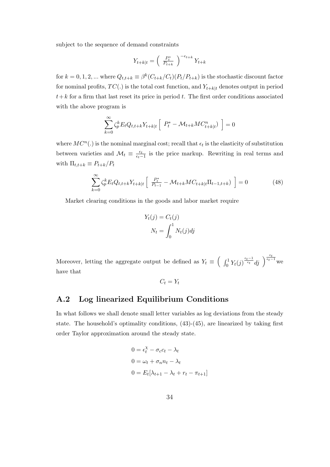subject to the sequence of demand constraints

$$
Y_{t+k|t} = \left(\begin{array}{c} P_t^* \\ \overline{P_{t+k}} \end{array}\right)^{-\epsilon_{t+k}} Y_{t+k}
$$

for  $k = 0, 1, 2, ...$  where  $Q_{t,t+k} \equiv \beta^k (C_{t+k}/C_t) (P_t/P_{t+k})$  is the stochastic discount factor for nominal profits,  $TC(.)$  is the total cost function, and  $Y_{t+k|t}$  denotes output in period  $t+k$  for a firm that last reset its price in period t. The first order conditions associated with the above program is

$$
\sum_{k=0}^{\infty} \zeta_p^k E_t Q_{t,t+k} Y_{t+k|t} \left[ P_t^* - \mathcal{M}_{t+k} M C_{t+k|t}^n \right] = 0
$$

where  $MC^n(.)$  is the nominal marginal cost; recall that  $\epsilon_t$  is the elasticity of substitution between varieties and  $\mathcal{M}_t \equiv \frac{\epsilon_t}{\epsilon_t - \epsilon_t}$  $\frac{\epsilon_t}{\epsilon_t-1}$  is the price markup. Rewriting in real terms and with  $\Pi_{t,t+k} \equiv P_{t+k}/P_t$ 

$$
\sum_{k=0}^{\infty} \zeta_p^k E_t Q_{t,t+k} Y_{t+k|t} \left[ \frac{P_t^*}{P_{t-1}} - \mathcal{M}_{t+k} M C_{t+k|t} \Pi_{t-1,t+k} \right] = 0 \tag{48}
$$

Market clearing conditions in the goods and labor market require

$$
Y_t(j) = C_t(j)
$$
  

$$
N_t = \int_0^1 N_t(j)dj
$$

Moreover, letting the aggregate output be defined as  $Y_t \equiv \left(\int_0^1 Y_t(j)^{\frac{\epsilon_t-1}{\epsilon_t}}dj\right)^{\frac{\epsilon_t}{\epsilon_t-1}}$  we have that

$$
C_t = Y_t
$$

### A.2 Log linearized Equilibrium Conditions

In what follows we shall denote small letter variables as log deviations from the steady state. The household's optimality conditions,  $(43)-(45)$ , are linearized by taking first order Taylor approximation around the steady state.

$$
0 = \epsilon_t^{\chi} - \sigma_c c_t - \lambda_t
$$
  
\n
$$
0 = \omega_t + \sigma_n n_t - \lambda_t
$$
  
\n
$$
0 = E_t[\lambda_{t+1} - \lambda_t + r_t - \pi_{t+1}]
$$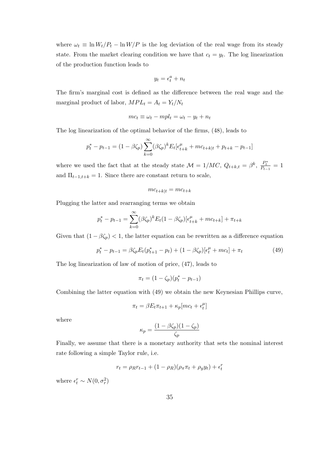where  $\omega_t \equiv \ln W_t/P_t - \ln W/P$  is the log deviation of the real wage from its steady state. From the market clearing condition we have that  $c_t = y_t$ . The log linearization of the production function leads to

$$
y_t = \epsilon_t^a + n_t
$$

The firm's marginal cost is defined as the difference between the real wage and the marginal product of labor,  $MPL_t = A_t = Y_t/N_t$ 

$$
mc_t \equiv \omega_t - mpl_t = \omega_t - y_t + n_t
$$

The log linearization of the optimal behavior of the firms, (48), leads to

$$
p_t^* - p_{t-1} = (1 - \beta \zeta_p) \sum_{k=0}^{\infty} (\beta \zeta_p)^k E_t[\epsilon_{t+k}^\mu + mc_{t+k}|_{t} + p_{t+k} - p_{t-1}]
$$

where we used the fact that at the steady state  $\mathcal{M} = 1/MC$ ,  $Q_{t+k,t} = \beta^k$ ,  $\frac{P_t^*}{P_{t-1}} = 1$ and  $\Pi_{t-1,t+k} = 1$ . Since there are constant return to scale,

$$
mc_{t+k|t} = mc_{t+k}
$$

Plugging the latter and rearranging terms we obtain

$$
p_t^* - p_{t-1} = \sum_{k=0}^{\infty} (\beta \zeta_p)^k E_t (1 - \beta \zeta_p) [\epsilon_{t+k}^{\mu} + mc_{t+k}] + \pi_{t+k}
$$

Given that  $(1 - \beta \zeta_p) < 1$ , the latter equation can be rewritten as a difference equation

$$
p_t^* - p_{t-1} = \beta \zeta_p E_t (p_{t+1}^* - p_t) + (1 - \beta \zeta_p) [\epsilon_t^\mu + mc_t] + \pi_t \tag{49}
$$

The log linearization of law of motion of price, (47), leads to

$$
\pi_t = (1 - \zeta_p)(p_t^* - p_{t-1})
$$

Combining the latter equation with (49) we obtain the new Keynesian Phillips curve,

$$
\pi_t = \beta E_t \pi_{t+1} + \kappa_p [mc_t + \epsilon_t^\mu]
$$

where

$$
\kappa_p = \frac{(1 - \beta \zeta_p)(1 - \zeta_p)}{\zeta_p}
$$

Finally, we assume that there is a monetary authority that sets the nominal interest rate following a simple Taylor rule, i.e.

$$
r_t = \rho_R r_{t-1} + (1 - \rho_R)(\rho_\pi \pi_t + \rho_y y_t) + \epsilon_t^r
$$

where  $\epsilon_t^r \sim N(0, \sigma_r^2)$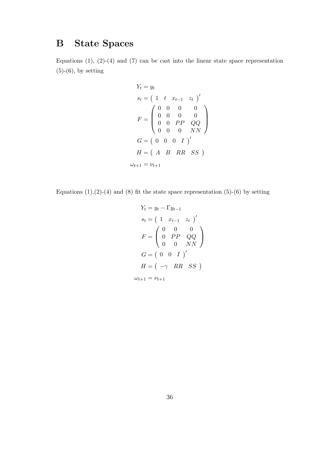# B State Spaces

Equations  $(1)$ ,  $(2)-(4)$  and  $(7)$  can be cast into the linear state space representation  $(5)-(6)$ , by setting

$$
Y_{t} = y_{t}
$$
\n
$$
s_{t} = \begin{pmatrix} 1 & t & x_{t-1} & z_{t} \end{pmatrix}'
$$
\n
$$
F = \begin{pmatrix} 0 & 0 & 0 & 0 \\ 0 & 0 & 0 & 0 \\ 0 & 0 & PP & QQ \\ 0 & 0 & 0 & NN \end{pmatrix}
$$
\n
$$
G = \begin{pmatrix} 0 & 0 & 0 & I \end{pmatrix}'
$$
\n
$$
H = \begin{pmatrix} A & B & RR & SS \end{pmatrix}
$$
\n
$$
\omega_{t+1} = \nu_{t+1}
$$

Equations  $(1),(2)-(4)$  and  $(8)$  fit the state space representation  $(5)-(6)$  by setting

$$
Y_{t} = y_{t} - \Gamma y_{t-1}
$$
\n
$$
s_{t} = \begin{pmatrix} 1 & x_{t-1} & z_{t} \end{pmatrix}'
$$
\n
$$
F = \begin{pmatrix} 0 & 0 & 0 \\ 0 & PP & QQ \\ 0 & 0 & NN \end{pmatrix}
$$
\n
$$
G = \begin{pmatrix} 0 & 0 & I \end{pmatrix}'
$$
\n
$$
H = \begin{pmatrix} -\gamma & RR & SS \end{pmatrix}
$$
\n
$$
\omega_{t+1} = \nu_{t+1}
$$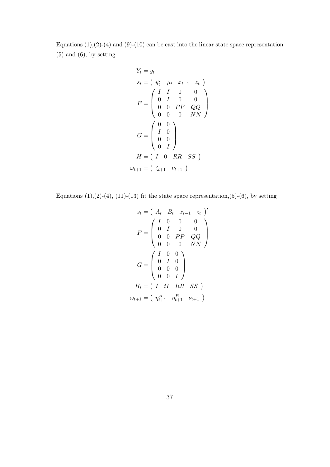Equations  $(1),(2)-(4)$  and  $(9)-(10)$  can be cast into the linear state space representation  $(5)$  and  $(6)$ , by setting

$$
Y_t = y_t
$$
  
\n
$$
s_t = \begin{pmatrix} y_t^T & \mu_t & x_{t-1} & z_t \end{pmatrix}
$$
  
\n
$$
F = \begin{pmatrix} I & I & 0 & 0 \\ 0 & I & 0 & 0 \\ 0 & 0 & PP & QQ \\ 0 & 0 & 0 & NN \end{pmatrix}
$$
  
\n
$$
G = \begin{pmatrix} 0 & 0 \\ I & 0 \\ 0 & 0 \\ 0 & I \end{pmatrix}
$$
  
\n
$$
H = \begin{pmatrix} I & 0 & RR & SS \\ I & 0 & RR & SS \end{pmatrix}
$$
  
\n
$$
\omega_{t+1} = \begin{pmatrix} \zeta_{t+1} & \nu_{t+1} \end{pmatrix}
$$

Equations  $(1),(2)-(4)$ ,  $(11)-(13)$  fit the state space representation, $(5)-(6)$ , by setting

$$
s_{t} = \begin{pmatrix} A_{t} & B_{t} & x_{t-1} & z_{t} \end{pmatrix}'
$$

$$
F = \begin{pmatrix} I & 0 & 0 & 0 \\ 0 & I & 0 & 0 \\ 0 & 0 & PP & QQ \\ 0 & 0 & 0 & NN \end{pmatrix}
$$

$$
G = \begin{pmatrix} I & 0 & 0 \\ 0 & I & 0 \\ 0 & 0 & 0 \\ 0 & 0 & I \end{pmatrix}
$$

$$
H_{t} = \begin{pmatrix} I & tI & RR & SS \\ 0 & H_{t+1} & R_{t+1} & N_{t+1} \end{pmatrix}
$$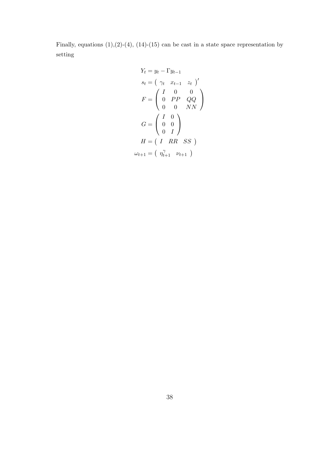Finally, equations  $(1)$ , $(2)$ - $(4)$ ,  $(14)$ - $(15)$  can be cast in a state space representation by setting

$$
Y_{t} = y_{t} - \Gamma y_{t-1}
$$
\n
$$
s_{t} = \begin{pmatrix} \gamma_{t} & x_{t-1} & z_{t} \end{pmatrix}'
$$
\n
$$
F = \begin{pmatrix} I & 0 & 0 \\ 0 & PP & QQ \\ 0 & 0 & NN \end{pmatrix}
$$
\n
$$
G = \begin{pmatrix} I & 0 \\ 0 & 0 \\ 0 & I \end{pmatrix}
$$
\n
$$
H = \begin{pmatrix} I & RR & SS \end{pmatrix}
$$
\n
$$
\omega_{t+1} = \begin{pmatrix} \eta_{t+1}^{\gamma} & \nu_{t+1} \end{pmatrix}
$$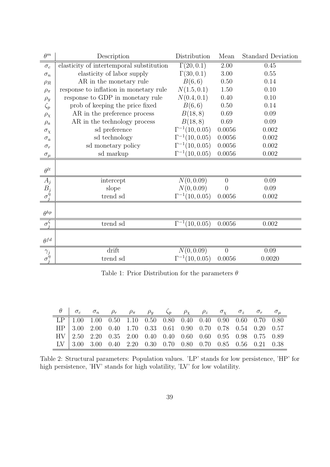| $\theta^m$                                                | Description                              | Distribution            | Mean           | <b>Standard Deviation</b> |
|-----------------------------------------------------------|------------------------------------------|-------------------------|----------------|---------------------------|
| $\sigma_c$                                                | elasticity of intertemporal substitution | $\Gamma(20,0.1)$        | $2.00\,$       | 0.45                      |
| $\sigma_n$                                                | elasticity of labor supply               | $\Gamma(30,0.1)$        | 3.00           | 0.55                      |
| $\rho_R$                                                  | AR in the monetary rule                  | B(6,6)                  | 0.50           | 0.14                      |
| $\rho_\pi$                                                | response to inflation in monetary rule   | N(1.5, 0.1)             | 1.50           | 0.10                      |
| $\rho_y$                                                  | response to GDP in monetary rule         | N(0.4, 0.1)             | 0.40           | 0.10                      |
| $\zeta_p$                                                 | prob of keeping the price fixed          | B(6,6)                  | 0.50           | 0.14                      |
| $\rho_\chi$                                               | AR in the preference process             | B(18,8)                 | 0.69           | 0.09                      |
| $\rho_a$                                                  | AR in the technology process             | B(18,8)                 | 0.69           | 0.09                      |
| $\sigma_{\chi}$                                           | sd preference                            | $\Gamma^{-1}(10, 0.05)$ | 0.0056         | 0.002                     |
| $\sigma_a$                                                | sd technology                            | $\Gamma^{-1}(10, 0.05)$ | 0.0056         | 0.002                     |
| $\sigma_r$                                                | sd monetary policy                       | $\Gamma^{-1}(10, 0.05)$ | 0.0056         | 0.002                     |
| $\sigma_{\underline{\mu}}$                                | sd markup                                | $\Gamma^{-1}(10, 0.05)$ | 0.0056         | 0.002                     |
|                                                           |                                          |                         |                |                           |
| $\theta^{lt}$                                             |                                          |                         |                |                           |
|                                                           | intercept                                | N(0, 0.09)              | $\theta$       | 0.09                      |
|                                                           | slope                                    | N(0, 0.09)              | $\overline{0}$ | 0.09                      |
| $\overline{A_j}$<br>$B_j$<br>$\sigma_j^{\eta}$            | trend sd                                 | $\Gamma^{-1}(10, 0.05)$ | 0.0056         | 0.002                     |
| $\theta^{hp}$                                             |                                          |                         |                |                           |
| $\overline{\sigma}_j^{\zeta}$                             | trend sd                                 | $\Gamma^{-1}(10, 0.05)$ | 0.0056         | 0.002                     |
| $\theta^{fd}$                                             |                                          |                         |                |                           |
|                                                           | drift                                    | N(0, 0.09)              | $\overline{0}$ | 0.09                      |
| $\begin{array}{c}\gamma_j \\ \sigma_j^{\eta} \end{array}$ | trend sd                                 | $\Gamma^{-1}(10, 0.05)$ | 0.0056         | 0.0020                    |

Table 1: Prior Distribution for the parameters  $\theta$ 

|  |  |  | $\theta$   $\sigma_c$ $\sigma_n$ $\rho_r$ $\rho_{\pi}$ $\rho_y$ $\zeta_p$ $\rho_{\chi}$ $\rho_z$ $\sigma_{\chi}$ $\sigma_z$ $\sigma_r$ $\sigma_{\mu}$ |  |  |  |
|--|--|--|-------------------------------------------------------------------------------------------------------------------------------------------------------|--|--|--|
|  |  |  | LP   $1.00$ $1.00$ $0.50$ $1.10$ $0.50$ $0.80$ $0.40$ $0.40$ $0.90$ $0.60$ $0.70$ $0.80$                                                              |  |  |  |
|  |  |  | $HP$ 3.00 2.00 0.40 1.70 0.33 0.61 0.90 0.70 0.78 0.54 0.20 0.57                                                                                      |  |  |  |
|  |  |  | HV 2.50 2.20 0.35 2.00 0.40 0.40 0.60 0.60 0.95 0.98 0.75 0.89                                                                                        |  |  |  |
|  |  |  | LV   3.00 3.00 0.40 2.20 0.30 0.70 0.80 0.70 0.85 0.56 0.21 0.38                                                                                      |  |  |  |

Table 2: Structural parameters: Population values. 'LP' stands for low persistence, 'HP' for high persistence, 'HV' stands for high volatility, 'LV' for low volatility.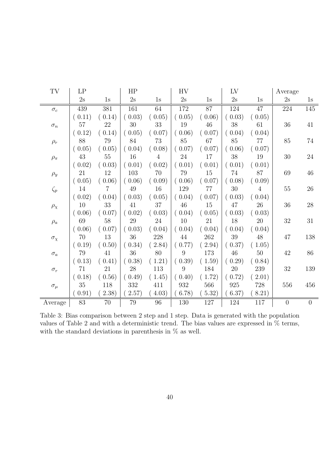| TV              | LP     |                | HP     |                | <b>HV</b> |        | LV     |                | Average  |                |
|-----------------|--------|----------------|--------|----------------|-----------|--------|--------|----------------|----------|----------------|
|                 | 2s     | 1s             | 2s     | 1s             | 2s        | 1s     | 2s     | 1s             | 2s       | 1s             |
| $\sigma_c$      | 439    | 381            | 161    | 64             | 172       | 87     | 124    | 47             | $224\,$  | 145            |
|                 | (0.11) | (0.14)         | (0.03) | (0.05)         | (0.05)    | (0.06) | (0.03) | (0.05)         |          |                |
| $\sigma_n$      | 57     | 22             | 30     | 33             | 19        | 46     | 38     | 61             | 36       | 41             |
|                 | (0.12) | (0.14)         | (0.05) | (0.07)         | (0.06)    | (0.07) | (0.04) | (0.04)         |          |                |
| $\rho_r$        | 88     | 79             | 84     | 73             | 85        | 67     | 85     | 77             | 85       | 74             |
|                 | (0.05) | (0.05)         | (0.04) | (0.08)         | (0.07)    | (0.07) | (0.06) | (0.07)         |          |                |
| $\rho_\pi$      | 43     | 55             | 16     | $\overline{4}$ | 24        | 17     | 38     | 19             | 30       | 24             |
|                 | (0.02) | (0.03)         | (0.01) | (0.02)         | (0.01)    | (0.01) | (0.01) | (0.01)         |          |                |
| $\rho_y$        | 21     | 12             | 103    | 70             | 79        | 15     | 74     | 87             | 69       | 46             |
|                 | (0.05) | (0.06)         | (0.06) | (0.09)         | (0.06)    | (0.07) | (0.08) | (0.09)         |          |                |
| $\zeta_p$       | 14     | $\overline{7}$ | 49     | 16             | 129       | $77\,$ | $30\,$ | $\overline{4}$ | 55       | 26             |
|                 | (0.02) | (0.04)         | (0.03) | (0.05)         | (0.04)    | (0.07) | (0.03) | (0.04)         |          |                |
| $\rho_{\chi}$   | 10     | 33             | 41     | 37             | 46        | 15     | 47     | 26             | 36       | $28\,$         |
|                 | (0.06) | (0.07)         | (0.02) | (0.03)         | (0.04)    | (0.05) | (0.03) | (0.03)         |          |                |
| $\rho_a$        | 69     | 58             | 29     | 24             | 10        | 21     | 18     | 20             | $32\,$   | $31\,$         |
|                 | (0.06) | (0.07)         | (0.03) | (0.04)         | (0.04)    | (0.04) | (0.04) | (0.04)         |          |                |
| $\sigma_{\chi}$ | 70     | 13             | 36     | 228            | 44        | 262    | 39     | 48             | 47       | 138            |
|                 | (0.19) | (0.50)         | (0.34) | (2.84)         | (0.77)    | (2.94) | (0.37) | (1.05)         |          |                |
| $\sigma_a$      | 79     | 41             | 36     | 80             | 9         | 173    | 46     | 50             | 42       | 86             |
|                 | (0.13) | (0.41)         | (0.38) | (1.21)         | (0.39)    | (1.59) | (0.29) | (0.84)         |          |                |
| $\sigma_r$      | 71     | 21             | 28     | 113            | 9         | 184    | 20     | 239            | 32       | 139            |
|                 | (0.18) | (0.56)         | (0.49) | (1.45)         | (0.40)    | (1.72) | (0.72) | (2.01)         |          |                |
| $\sigma_\mu$    | 35     | 118            | 332    | 411            | 932       | 566    | 925    | 728            | 556      | 456            |
|                 | 0.91)  | 2.38)          | (2.57) | 4.03)          | (6.78)    | (5.32) | 6.37)  | 8.21)          |          |                |
| Average         | 83     | 70             | 79     | 96             | 130       | 127    | 124    | 117            | $\theta$ | $\overline{0}$ |

Table 3: Bias comparison between 2 step and 1 step. Data is generated with the population values of Table 2 and with a deterministic trend. The bias values are expressed in % terms, with the standard deviations in parenthesis in  $\%$  as well.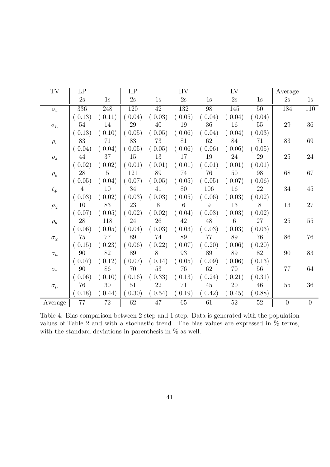| TV            | LP             |                | HP     |        | <b>HV</b> |        | LV     |        | Average  |                |
|---------------|----------------|----------------|--------|--------|-----------|--------|--------|--------|----------|----------------|
|               | 2s             | 1s             | 2s     | 1s     | 2s        | 1s     | 2s     | 1s     | 2s       | 1s             |
| $\sigma_c$    | 336            | 248            | 120    | 42     | 132       | 98     | 145    | 50     | 184      | 110            |
|               | (0.13)         | (0.11)         | (0.04) | (0.03) | (0.05)    | (0.04) | (0.04) | (0.04) |          |                |
| $\sigma_n$    | 54             | 14             | 29     | 40     | 19        | 36     | 16     | 55     | 29       | 36             |
|               | (0.13)         | (0.10)         | (0.05) | (0.05) | (0.06)    | (0.04) | (0.04) | (0.03) |          |                |
| $\rho_r$      | 83             | 71             | 83     | 73     | 81        | 62     | 84     | 71     | 83       | 69             |
|               | (0.04)         | (0.04)         | (0.05) | (0.05) | (0.06)    | (0.06) | (0.06) | (0.05) |          |                |
| $\rho_\pi$    | 44             | 37             | 15     | 13     | 17        | 19     | 24     | 29     | 25       | 24             |
|               | (0.02)         | (0.02)         | (0.01) | (0.01) | (0.01)    | (0.01) | (0.01) | (0.01) |          |                |
| $\rho_y$      | 28             | $\overline{5}$ | 121    | 89     | 74        | 76     | 50     | 98     | 68       | 67             |
|               | (0.05)         | (0.04)         | (0.07) | (0.05) | (0.05)    | (0.05) | (0.07) | (0.06) |          |                |
| $\zeta_p$     | $\overline{4}$ | 10             | 34     | 41     | 80        | 106    | 16     | 22     | 34       | 45             |
|               | (0.03)         | (0.02)         | (0.03) | (0.03) | (0.05)    | (0.06) | (0.03) | (0.02) |          |                |
| $\rho_{\chi}$ | 10             | 83             | 23     | 8      | 6         | 9      | 13     | 8      | 13       | $27\,$         |
|               | (0.07)         | (0.05)         | (0.02) | (0.02) | (0.04)    | (0.03) | (0.03) | (0.02) |          |                |
| $\rho_a$      | 28             | 118            | 24     | 26     | 42        | 48     | 6      | 27     | 25       | $55\,$         |
|               | (0.06)         | (0.05)         | (0.04) | (0.03) | (0.03)    | (0.03) | (0.03) | (0.03) |          |                |
| $\sigma_\chi$ | 75             | 77             | 89     | 74     | 89        | 77     | 89     | 76     | 86       | 76             |
|               | (0.15)         | (0.23)         | (0.06) | (0.22) | (0.07)    | (0.20) | (0.06) | (0.20) |          |                |
| $\sigma_a$    | 90             | $82\,$         | 89     | 81     | 93        | 89     | 89     | 82     | 90       | 83             |
|               | (0.07)         | (0.12)         | (0.07) | (0.14) | (0.05)    | (0.09) | (0.06) | (0.13) |          |                |
| $\sigma_r$    | 90             | 86             | 70     | 53     | 76        | 62     | 70     | 56     | 77       | 64             |
|               | (0.06)         | (0.10)         | (0.16) | (0.33) | (0.13)    | (0.24) | (0.21) | (0.31) |          |                |
| $\sigma_\mu$  | 76             | 30             | 51     | 22     | 71        | 45     | 20     | 46     | 55       | 36             |
|               | (0.18)         | (0.44)         | (0.30) | (0.54) | (0.19)    | (0.42) | (0.45) | (0.88) |          |                |
| Average       | $77\,$         | 72             | 62     | 47     | 65        | 61     | $52\,$ | $52\,$ | $\theta$ | $\overline{0}$ |

Table 4: Bias comparison between 2 step and 1 step. Data is generated with the population values of Table 2 and with a stochastic trend. The bias values are expressed in % terms, with the standard deviations in parenthesis in  $\%$  as well.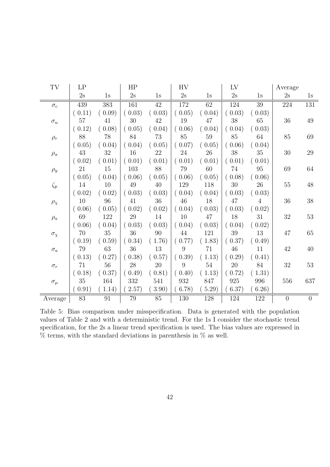| TV              | $\operatorname{LP}$ |        | HP     |        | HV            |        | LV     |        | Average          |          |
|-----------------|---------------------|--------|--------|--------|---------------|--------|--------|--------|------------------|----------|
|                 | 2s                  | 1s     | 2s     | 1s     | $2\mathrm{s}$ | 1s     | 2s     | 1s     | 2s               | 1s       |
| $\sigma_c$      | 439                 | 383    | 161    | 42     | 172           | 62     | 124    | 39     | 224              | 131      |
|                 | (0.11)              | (0.09) | (0.03) | (0.03) | (0.05)        | (0.04) | (0.03) | (0.03) |                  |          |
| $\sigma_n$      | 57                  | 41     | 30     | 42     | 19            | 47     | 38     | 65     | 36               | 49       |
|                 | (0.12)              | (0.08) | (0.05) | (0.04) | (0.06)        | (0.04) | (0.04) | (0.03) |                  |          |
| $\rho_r$        | 88                  | 78     | 84     | 73     | 85            | 59     | 85     | 64     | 85               | 69       |
|                 | (0.05)              | (0.04) | (0.04) | (0.05) | (0.07)        | (0.05) | (0.06) | (0.04) |                  |          |
| $\rho_\pi$      | 43                  | 32     | 16     | 22     | 24            | 26     | 38     | 35     | 30               | $29\,$   |
|                 | (0.02)              | (0.01) | (0.01) | (0.01) | (0.01)        | (0.01) | (0.01) | (0.01) |                  |          |
| $\rho_y$        | 21                  | 15     | 103    | 88     | 79            | 60     | 74     | 95     | 69               | 64       |
|                 | (0.05)              | (0.04) | (0.06) | (0.05) | (0.06)        | (0.05) | (0.08) | (0.06) |                  |          |
| $\zeta_p$       | 14                  | 10     | 49     | 40     | 129           | 118    | 30     | 26     | 55               | 48       |
|                 | (0.02)              | (0.02) | (0.03) | (0.03) | (0.04)        | (0.04) | (0.03) | (0.03) |                  |          |
| $\rho_\chi$     | 10                  | 96     | 41     | 36     | 46            | 18     | 47     | 4      | 36               | $38\,$   |
|                 | (0.06)              | (0.05) | (0.02) | (0.02) | (0.04)        | (0.03) | (0.03) | (0.02) |                  |          |
| $\rho_a$        | 69                  | 122    | 29     | 14     | 10            | 47     | 18     | 31     | 32               | 53       |
|                 | (0.06)              | (0.04) | (0.03) | (0.03) | (0.04)        | (0.03) | (0.04) | (0.02) |                  |          |
| $\sigma_{\chi}$ | 70                  | 35     | 36     | 90     | 44            | 121    | 39     | 13     | 47               | 65       |
|                 | (0.19)              | (0.59) | (0.34) | (1.76) | (0.77)        | (1.83) | (0.37) | (0.49) |                  |          |
| $\sigma_a$      | 79                  | 63     | 36     | 13     | 9             | 71     | 46     | 11     | 42               | 40       |
|                 | (0.13)              | (0.27) | (0.38) | (0.57) | (0.39)        | (1.13) | (0.29) | (0.41) |                  |          |
| $\sigma_r$      | 71                  | 56     | 28     | 20     | 9             | 54     | 20     | 84     | 32               | 53       |
|                 | (0.18)              | (0.37) | (0.49) | (0.81) | (0.40)        | (1.13) | (0.72) | (1.31) |                  |          |
| $\sigma_{\mu}$  | 35                  | 164    | 332    | 541    | 932           | 847    | 925    | 996    | 556              | 637      |
|                 | 0.91)               | (1.14) | 2.57)  | 3.90)  | (6.78)        | 5.29)  | 6.37)  | 6.26)  |                  |          |
| Average         | 83                  | 91     | 79     | 85     | 130           | 128    | 124    | 122    | $\boldsymbol{0}$ | $\theta$ |

Table 5: Bias comparison under misspecification. Data is generated with the population values of Table 2 and with a deterministic trend. For the 1s I consider the stochastic trend specification, for the 2s a linear trend specification is used. The bias values are expressed in  $\%$  terms, with the standard deviations in parenthesis in  $\%$  as well.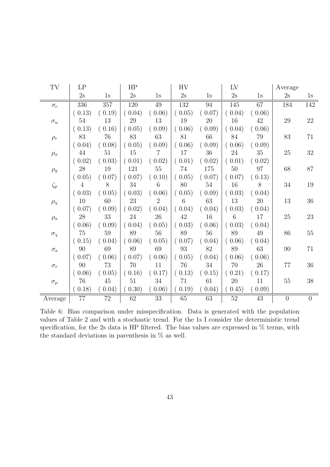| TV              | $\operatorname{LP}$ |        | HP     |                | HV            |        | LV     |        | Average          |          |
|-----------------|---------------------|--------|--------|----------------|---------------|--------|--------|--------|------------------|----------|
|                 | 2s                  | 1s     | 2s     | 1s             | $2\mathrm{s}$ | 1s     | 2s     | 1s     | 2s               | 1s       |
| $\sigma_c$      | 336                 | 357    | 120    | 49             | 132           | 94     | 145    | 67     | 184              | 142      |
|                 | (0.13)              | (0.19) | (0.04) | (0.06)         | (0.05)        | (0.07) | (0.04) | (0.06) |                  |          |
| $\sigma_n$      | 54                  | 13     | 29     | 13             | 19            | 20     | 16     | 42     | 29               | 22       |
|                 | (0.13)              | (0.16) | (0.05) | (0.09)         | (0.06)        | (0.09) | (0.04) | (0.06) |                  |          |
| $\rho_r$        | 83                  | 76     | 83     | 63             | 81            | 66     | 84     | 79     | 83               | 71       |
|                 | (0.04)              | (0.08) | (0.05) | (0.09)         | (0.06)        | (0.09) | (0.06) | (0.09) |                  |          |
| $\rho_\pi$      | 44                  | 51     | 15     | $\overline{7}$ | 17            | 36     | 24     | 35     | 25               | $32\,$   |
|                 | (0.02)              | (0.03) | (0.01) | (0.02)         | (0.01)        | (0.02) | (0.01) | (0.02) |                  |          |
| $\rho_y$        | 28                  | 19     | 121    | 55             | 74            | 175    | 50     | 97     | 68               | 87       |
|                 | (0.05)              | (0.07) | (0.07) | (0.10)         | (0.05)        | (0.07) | (0.07) | (0.13) |                  |          |
| $\zeta_p$       | $\overline{4}$      | 8      | 34     | 6              | 80            | 54     | 16     | 8      | 34               | 19       |
|                 | (0.03)              | (0.05) | (0.03) | (0.06)         | (0.05)        | (0.09) | (0.03) | (0.04) |                  |          |
| $\rho_\chi$     | 10                  | 60     | 23     | $\overline{2}$ | 6             | 63     | 13     | 20     | 13               | 36       |
|                 | (0.07)              | (0.09) | (0.02) | (0.04)         | (0.04)        | (0.04) | (0.03) | (0.04) |                  |          |
| $\rho_a$        | 28                  | 33     | 24     | 26             | 42            | 16     | 6      | 17     | 25               | 23       |
|                 | (0.06)              | (0.09) | (0.04) | (0.05)         | (0.03)        | (0.06) | (0.03) | (0.04) |                  |          |
| $\sigma_{\chi}$ | 75                  | 59     | 89     | 56             | 89            | 56     | 89     | 49     | 86               | 55       |
|                 | (0.15)              | (0.04) | (0.06) | (0.05)         | (0.07)        | (0.04) | (0.06) | (0.04) |                  |          |
| $\sigma_a$      | 90                  | 69     | 89     | 69             | 93            | 82     | 89     | 63     | 90               | 71       |
|                 | (0.07)              | (0.06) | (0.07) | (0.06)         | (0.05)        | (0.04) | (0.06) | (0.06) |                  |          |
| $\sigma_r$      | 90                  | 73     | 70     | 11             | 76            | 34     | 70     | 26     | $77\,$           | 36       |
|                 | (0.06)              | (0.05) | (0.16) | (0.17)         | (0.13)        | (0.15) | (0.21) | (0.17) |                  |          |
| $\sigma_{\mu}$  | 76                  | 45     | 51     | 34             | 71            | 61     | 20     | 11     | 55               | 38       |
|                 | (0.18)              | (0.04) | (0.30) | (0.06)         | (0.19)        | (0.04) | (0.45) | (0.09) |                  |          |
| Average         | $77\,$              | $72\,$ | 62     | $33\,$         | 65            | 63     | 52     | 43     | $\boldsymbol{0}$ | $\theta$ |

Table 6: Bias comparison under misspecification. Data is generated with the population values of Table 2 and with a stochastic trend. For the 1s I consider the deterministic trend specification, for the 2s data is HP filtered. The bias values are expressed in % terms, with the standard deviations in parenthesis in % as well.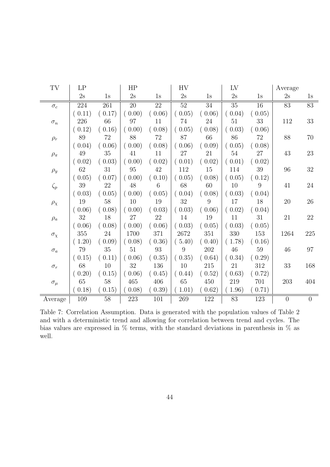| TV             | LP     |        | HP      |        | HV              |        | LV     |        | Average          |                |
|----------------|--------|--------|---------|--------|-----------------|--------|--------|--------|------------------|----------------|
|                | 2s     | 1s     | 2s      | 1s     | 2s              | 1s     | 2s     | 1s     | 2s               | 1s             |
| $\sigma_c$     | 224    | 261    | 20      | 22     | $\overline{52}$ | 34     | 35     | 16     | 83               | $83\,$         |
|                | (0.11) | (0.17) | (0.00)  | (0.06) | (0.05)          | (0.06) | (0.04) | (0.05) |                  |                |
| $\sigma_n$     | 226    | 66     | 97      | 11     | 74              | 24     | 51     | 33     | 112              | 33             |
|                | (0.12) | (0.16) | (0.00)  | (0.08) | (0.05)          | (0.08) | (0.03) | (0.06) |                  |                |
| $\rho_r$       | 89     | 72     | 88      | 72     | 87              | 66     | 86     | 72     | 88               | 70             |
|                | (0.04) | (0.06) | (0.00)  | (0.08) | (0.06)          | (0.09) | (0.05) | (0.08) |                  |                |
| $\rho_{\pi}$   | 49     | 35     | 41      | 11     | 27              | 21     | 54     | 27     | 43               | 23             |
|                | (0.02) | (0.03) | (0.00)  | (0.02) | (0.01)          | (0.02) | (0.01) | (0.02) |                  |                |
| $\rho_y$       | 62     | 31     | 95      | 42     | 112             | 15     | 114    | 39     | 96               | 32             |
|                | (0.05) | (0.07) | (0.00)  | (0.10) | (0.05)          | (0.08) | (0.05) | (0.12) |                  |                |
| $\zeta_p$      | 39     | 22     | 48      | 6      | 68              | 60     | 10     | 9      | 41               | 24             |
|                | (0.03) | (0.05) | (0.00)  | (0.05) | (0.04)          | (0.08) | (0.03) | (0.04) |                  |                |
| $\rho_\chi$    | 19     | 58     | 10      | 19     | 32              | 9      | 17     | 18     | 20               | 26             |
|                | (0.06) | (0.08) | (0.00)  | (0.03) | (0.03)          | (0.06) | (0.02) | (0.04) |                  |                |
| $\rho_a$       | 32     | 18     | 27      | 22     | 14              | 19     | 11     | 31     | 21               | $22\,$         |
|                | (0.06) | (0.08) | (0.00)  | (0.06) | (0.03)          | (0.05) | (0.03) | (0.05) |                  |                |
| $\sigma_\chi$  | 355    | 24     | 1700    | 371    | 2672            | 351    | 330    | 153    | 1264             | 225            |
|                | (1.20) | (0.09) | (0.08)  | (0.36) | (5.40)          | (0.40) | (1.78) | (0.16) |                  |                |
| $\sigma_a$     | 79     | 35     | 51      | 93     | 9               | 202    | 46     | 59     | 46               | 97             |
|                | (0.15) | (0.11) | (0.06)  | (0.35) | (0.35)          | (0.64) | (0.34) | (0.29) |                  |                |
| $\sigma_r$     | 68     | 10     | $32\,$  | 136    | 10              | 215    | 21     | 312    | 33               | 168            |
|                | (0.20) | (0.15) | (0.06)  | (0.45) | (0.44)          | (0.52) | (0.63) | (0.72) |                  |                |
| $\sigma_{\mu}$ | 65     | $58\,$ | 465     | 406    | 65              | 450    | 219    | 701    | 203              | 404            |
|                | (0.18) | (0.15) | 0.08)   | (0.39) | (1.01)          | (0.62) | 1.96)  | 0.71)  |                  |                |
| Average        | 109    | $58\,$ | $223\,$ | 101    | 269             | 122    | 83     | 123    | $\boldsymbol{0}$ | $\overline{0}$ |

Table 7: Correlation Assumption. Data is generated with the population values of Table 2 and with a deterministic trend and allowing for correlation between trend and cycles. The bias values are expressed in % terms, with the standard deviations in parenthesis in % as well.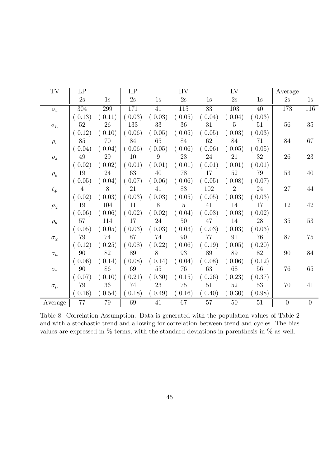| TV              | LP             |        | HP     |        | HV             |        | LV             |        | Average        |                |
|-----------------|----------------|--------|--------|--------|----------------|--------|----------------|--------|----------------|----------------|
|                 | 2s             | 1s     | 2s     | 1s     | 2s             | 1s     | 2s             | 1s     | 2s             | 1s             |
| $\sigma_c$      | 304            | 299    | 171    | 41     | 115            | 83     | 103            | 40     | 173            | 116            |
|                 | (0.13)         | (0.11) | (0.03) | (0.03) | (0.05)         | (0.04) | (0.04)         | (0.03) |                |                |
| $\sigma_n$      | 52             | 26     | 133    | 33     | 36             | 31     | 5              | 51     | 56             | $35\,$         |
|                 | (0.12)         | (0.10) | (0.06) | (0.05) | (0.05)         | (0.05) | (0.03)         | (0.03) |                |                |
| $\rho_r$        | 85             | 70     | 84     | 65     | 84             | 62     | 84             | 71     | 84             | 67             |
|                 | (0.04)         | (0.04) | (0.06) | (0.05) | (0.06)         | (0.06) | (0.05)         | (0.05) |                |                |
| $\rho_\pi$      | 49             | 29     | 10     | 9      | 23             | 24     | 21             | 32     | 26             | 23             |
|                 | (0.02)         | (0.02) | (0.01) | (0.01) | (0.01)         | (0.01) | (0.01)         | (0.01) |                |                |
| $\rho_y$        | 19             | 24     | 63     | 40     | 78             | 17     | 52             | 79     | 53             | 40             |
|                 | (0.05)         | (0.04) | (0.07) | (0.06) | (0.06)         | (0.05) | (0.08)         | (0.07) |                |                |
| $\zeta_p$       | $\overline{4}$ | 8      | 21     | 41     | 83             | 102    | $\overline{2}$ | 24     | 27             | 44             |
|                 | (0.02)         | (0.03) | (0.03) | (0.03) | (0.05)         | (0.05) | (0.03)         | (0.03) |                |                |
| $\rho_\chi$     | 19             | 104    | 11     | 8      | $\overline{5}$ | 41     | 14             | 17     | 12             | 42             |
|                 | (0.06)         | (0.06) | (0.02) | (0.02) | (0.04)         | (0.03) | (0.03)         | (0.02) |                |                |
| $\rho_a$        | 57             | 114    | 17     | 24     | $50\,$         | 47     | 14             | 28     | 35             | $53\,$         |
|                 | (0.05)         | (0.05) | (0.03) | (0.03) | (0.03)         | (0.03) | (0.03)         | (0.03) |                |                |
| $\sigma_{\chi}$ | 79             | 74     | 87     | 74     | 90             | 77     | 91             | 76     | 87             | 75             |
|                 | (0.12)         | (0.25) | (0.08) | (0.22) | (0.06)         | (0.19) | (0.05)         | (0.20) |                |                |
| $\sigma_a$      | 90             | 82     | 89     | 81     | 93             | 89     | 89             | 82     | 90             | 84             |
|                 | (0.06)         | (0.14) | (0.08) | (0.14) | (0.04)         | (0.08) | (0.06)         | (0.12) |                |                |
| $\sigma_r$      | 90             | 86     | 69     | 55     | 76             | 63     | 68             | 56     | 76             | 65             |
|                 | (0.07)         | (0.10) | (0.21) | (0.30) | (0.15)         | (0.26) | (0.23)         | (0.37) |                |                |
| $\sigma_\mu$    | 79             | 36     | 74     | 23     | 75             | 51     | 52             | 53     | 70             | 41             |
|                 | 0.16)          | (0.54) | (0.18) | (0.49) | 0.16)          | (0.40) | (0.30)         | (0.98) |                |                |
| Average         | 77             | 79     | 69     | 41     | 67             | $57\,$ | $50\,$         | 51     | $\overline{0}$ | $\overline{0}$ |

Table 8: Correlation Assumption. Data is generated with the population values of Table 2 and with a stochastic trend and allowing for correlation between trend and cycles. The bias values are expressed in  $\%$  terms, with the standard deviations in parenthesis in  $\%$  as well.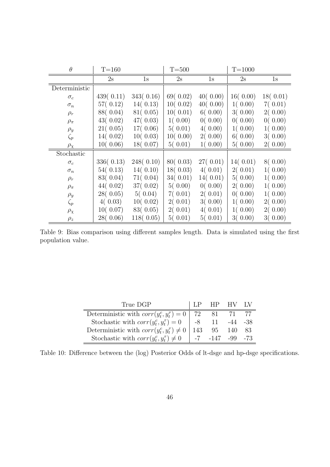| $\theta$      | $T = 160$ |           | $T = 500$ |          | $T = 1000$ |          |
|---------------|-----------|-----------|-----------|----------|------------|----------|
|               | 2s        | 1s        | 2s        | 1s       | 2s         | 1s       |
| Deterministic |           |           |           |          |            |          |
| $\sigma_c$    | 439(0.11) | 343(0.16) | 69(0.02)  | 40(0.00) | 16(0.00)   | 18(0.01) |
| $\sigma_n$    | 57(0.12)  | 14(0.13)  | 10(0.02)  | 40(0.00) | 1(0.00)    | 7(0.01)  |
| $\rho_r$      | 88(0.04)  | 81(0.05)  | 10(0.01)  | 6(0.00)  | 3(0.00)    | 2(0.00)  |
| $\rho_{\pi}$  | 43(0.02)  | 47(0.03)  | 1(0.00)   | 0(0.00)  | 0(0.00)    | 0(0.00)  |
| $\rho_y$      | 21(0.05)  | 17(0.06)  | 5(0.01)   | 4(0.00)  | 1(0.00)    | 1(0.00)  |
| $\zeta_p$     | 14(0.02)  | 10(0.03)  | 10(0.00)  | 2(0.00)  | 6(0.00)    | 3(0.00)  |
| $\rho_{\chi}$ | 10(0.06)  | 18(0.07)  | 5(0.01)   | 1(0.00)  | 5(0.00)    | 2(0.00)  |
| Stochastic    |           |           |           |          |            |          |
| $\sigma_c$    | 336(0.13) | 248(0.10) | 80(0.03)  | 27(0.01) | 14(0.01)   | 8(0.00)  |
| $\sigma_n$    | 54(0.13)  | 14(0.10)  | 18(0.03)  | 4(0.01)  | 2(0.01)    | 1(0.00)  |
| $\rho_r$      | 83(0.04)  | 71(0.04)  | 34(0.01)  | 14(0.01) | 5(0.00)    | 1(0.00)  |
| $\rho_{\pi}$  | 44(0.02)  | 37(0.02)  | 5(0.00)   | 0(0.00)  | 2(0.00)    | 1(0.00)  |
| $\rho_y$      | 28(0.05)  | 5(0.04)   | 7(0.01)   | 2(0.01)  | 0(0.00)    | 1(0.00)  |
| $\zeta_p$     | 4(0.03)   | 10(0.02)  | 2(0.01)   | 3(0.00)  | 1(0.00)    | 2(0.00)  |
| $\rho_\chi$   | 10(0.07)  | 83(0.05)  | 2(0.01)   | 4(0.01)  | 1(0.00)    | 2(0.00)  |
| $\rho_z$      | 28(0.06)  | 118(0.05) | 5(0.01)   | 5(0.01)  | 3(0.00)    | 3(0.00)  |

Table 9: Bias comparison using different samples length. Data is simulated using the first population value.

| True DGP                                              |        |             | HP HV LV   |      |
|-------------------------------------------------------|--------|-------------|------------|------|
| Deterministic with $corr(y_t^c, y_t^{\tau}) = 0$   72 |        | -81         |            |      |
| Stochastic with $corr(y_t^c, y_t^{\tau}) = 0$         | -8     | -11-        | $-44 - 38$ |      |
| Deterministic with $corr(y_t^c, y_t^{\tau}) \neq 0$   | 143 95 |             | 140        | - 83 |
| Stochastic with $corr(y_t^c, y_t^{\tau}) \neq 0$      |        | $-7$ $-147$ | $-99 - 73$ |      |

Table 10: Difference between the (log) Posterior Odds of lt-dsge and hp-dsge specifications.

 $=$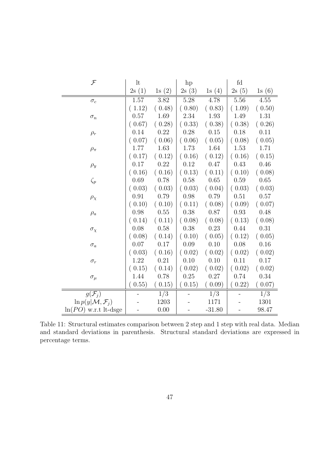| $\mathcal{F}$                         | lt                |        | hp     |          | fd     |        |
|---------------------------------------|-------------------|--------|--------|----------|--------|--------|
|                                       | 2s(1)             | 1s(2)  | 2s(3)  | 1s(4)    | 2s(5)  | 1s(6)  |
| $\sigma_c$                            | $\overline{1}.57$ | 3.82   | 5.28   | 4.78     | 5.56   | 4.55   |
|                                       | (1.12)            | (0.48) | (0.80) | (0.83)   | (1.09) | (0.50) |
| $\sigma_n$                            | 0.57              | 1.69   | 2.34   | 1.93     | 1.49   | 1.31   |
|                                       | (0.67)            | (0.28) | (0.33) | (0.38)   | (0.38) | (0.26) |
| $\rho_r$                              | 0.14              | 0.22   | 0.28   | 0.15     | 0.18   | 0.11   |
|                                       | (0.07)            | (0.06) | (0.06) | (0.05)   | (0.08) | (0.05) |
| $\rho_{\pi}$                          | 1.77              | 1.63   | 1.73   | 1.64     | 1.53   | 1.71   |
|                                       | (0.17)            | (0.12) | (0.16) | (0.12)   | (0.16) | (0.15) |
| $\rho_y$                              | 0.17              | 0.22   | 0.12   | 0.47     | 0.43   | 0.46   |
|                                       | (0.16)            | (0.16) | (0.13) | (0.11)   | (0.10) | (0.08) |
| $\zeta_p$                             | 0.69              | 0.78   | 0.58   | 0.65     | 0.59   | 0.65   |
|                                       | (0.03)            | (0.03) | (0.03) | (0.04)   | (0.03) | (0.03) |
| $\rho_{\chi}$                         | 0.91              | 0.79   | 0.98   | 0.79     | 0.51   | 0.57   |
|                                       | (0.10)            | (0.10) | (0.11) | (0.08)   | (0.09) | (0.07) |
| $\rho_a$                              | 0.98              | 0.55   | 0.38   | 0.87     | 0.93   | 0.48   |
|                                       | (0.14)            | (0.11) | (0.08) | (0.08)   | (0.13) | (0.08) |
| $\sigma_{\chi}$                       | 0.08              | 0.58   | 0.38   | 0.23     | 0.44   | 0.31   |
|                                       | (0.08)            | (0.14) | (0.10) | (0.05)   | (0.12) | (0.05) |
| $\sigma_a$                            | 0.07              | 0.17   | 0.09   | 0.10     | 0.08   | 0.16   |
|                                       | (0.03)            | (0.16) | (0.02) | (0.02)   | (0.02) | (0.02) |
| $\sigma_r$                            | 1.22              | 0.21   | 0.10   | 0.10     | 0.11   | 0.17   |
|                                       | (0.15)            | (0.14) | (0.02) | (0.02)   | (0.02) | (0.02) |
| $\sigma_{\mu}$                        | 1.44              | 0.78   | 0.25   | 0.27     | 0.74   | 0.34   |
|                                       | (0.55)            | (0.15) | (0.15) | (0.09)   | (0.22) | (0.07) |
| $g(\mathcal{F}_i)$                    |                   | 1/3    |        | 1/3      |        | 1/3    |
| $\ln p(y \mathcal{M}, \mathcal{F}_i)$ |                   | 1203   |        | 1171     |        | 1301   |
| $ln(PO)$ w.r.t lt-dsge                |                   | 0.00   |        | $-31.80$ |        | 98.47  |

Table 11: Structural estimates comparison between 2 step and 1 step with real data. Median and standard deviations in parenthesis. Structural standard deviations are expressed in percentage terms.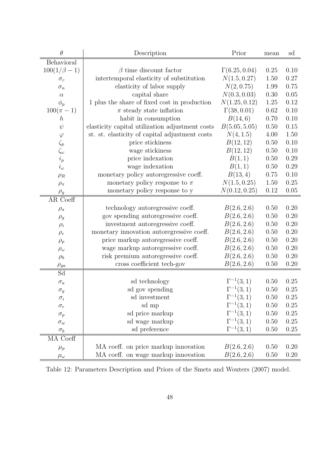| $\theta$           | Description                                     | Prior                | mean     | sd   |
|--------------------|-------------------------------------------------|----------------------|----------|------|
| Behavioral         |                                                 |                      |          |      |
| $100(1/\beta - 1)$ | $\beta$ time discount factor                    | $\Gamma(6.25, 0.04)$ | 0.25     | 0.10 |
| $\sigma_c$         | intertemporal elasticity of substitution        | N(1.5, 0.27)         | 1.50     | 0.27 |
| $\sigma_n$         | elasticity of labor supply                      | N(2, 0.75)           | 1.99     | 0.75 |
| $\alpha$           | capital share                                   | N(0.3, 0.03)         | $0.30\,$ | 0.05 |
| $\phi_p$           | 1 plus the share of fixed cost in production    | N(1.25, 0.12)        | 1.25     | 0.12 |
| $100(\pi - 1)$     | $\pi$ steady state inflation                    | $\Gamma(38,0.01)$    | 0.62     | 0.10 |
| $\boldsymbol{h}$   | habit in consumption                            | B(14,6)              | 0.70     | 0.10 |
| $\psi$             | elasticity capital utilization adjustment costs | B(5.05, 5.05)        | 0.50     | 0.15 |
| $\varphi$          | st. st. elasticity of capital adjustment costs  | N(4, 1.5)            | 4.00     | 1.50 |
| $\zeta_p$          | price stickiness                                | B(12, 12)            | $0.50\,$ | 0.10 |
| $\zeta_\omega$     | wage stickiness                                 | B(12, 12)            | 0.50     | 0.10 |
| $i_p$              | price indexation                                | B(1,1)               | 0.50     | 0.29 |
| $i_{\omega}$       | wage indexation                                 | B(1,1)               | 0.50     | 0.29 |
| $\rho_R$           | monetary policy autoregressive coeff.           | B(13,4)              | 0.75     | 0.10 |
| $\rho_{\pi}$       | monetary policy response to $\pi$               | N(1.5, 0.25)         | 1.50     | 0.25 |
| $\rho_y$           | monetary policy response to y                   | N(0.12, 0.25)        | 0.12     | 0.05 |
| AR Coeff           |                                                 |                      |          |      |
| $\rho_a$           | technology autoregressive coeff.                | B(2.6, 2.6)          | 0.50     | 0.20 |
| $\rho_g$           | gov spending autoregressive coeff.              | B(2.6, 2.6)          | 0.50     | 0.20 |
| $\rho_i$           | investment autoregressive coeff.                | B(2.6, 2.6)          | 0.50     | 0.20 |
| $\rho_r$           | monetary innovation autoregressive coeff.       | B(2.6, 2.6)          | 0.50     | 0.20 |
| $\rho_p$           | price markup autoregressive coeff.              | B(2.6, 2.6)          | 0.50     | 0.20 |
| $\rho_\omega$      | wage markup autoregressive coeff.               | B(2.6, 2.6)          | 0.50     | 0.20 |
| $\rho_b$           | risk premium autoregressive coeff.              | B(2.6, 2.6)          | 0.50     | 0.20 |
| $\rho_{ga}$        | cross coefficient tech-gov                      | B(2.6, 2.6)          | 0.50     | 0.20 |
| Sd                 |                                                 |                      |          |      |
| $\sigma_a$         | sd technology                                   | $\Gamma^{-1}(3,1)$   | 0.50     | 0.25 |
| $\sigma_g$         | sd gov spending                                 | $\Gamma^{-1}(3,1)$   | $0.50\,$ | 0.25 |
| $\sigma_i$         | sd investment                                   | $\Gamma^{-1}(3,1)$   | $0.50\,$ | 0.25 |
| $\sigma_r$         | sd mp                                           | $\Gamma^{-1}(3,1)$   | 0.50     | 0.25 |
| $\sigma_p$         | sd price markup                                 | $\Gamma^{-1}(3,1)$   | 0.50     | 0.25 |
| $\sigma_w$         | sd wage markup                                  | $\Gamma^{-1}(3,1)$   | 0.50     | 0.25 |
| $\sigma_b$         | sd preference                                   | $\Gamma^{-1}(3,1)$   | 0.50     | 0.25 |
| MA Coeff           |                                                 |                      |          |      |
| $\mu_p$            | MA coeff. on price markup innovation            | B(2.6, 2.6)          | 0.50     | 0.20 |
| $\mu_\omega$       | MA coeff. on wage markup innovation             | B(2.6, 2.6)          | 0.50     | 0.20 |

Table 12: Parameters Description and Priors of the Smets and Wouters (2007) model.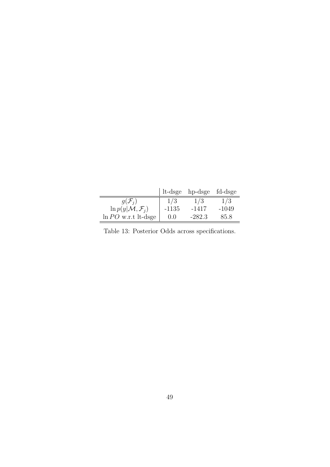|                                       | $ $ lt-dsge | hp-dsge fd-dsge |         |
|---------------------------------------|-------------|-----------------|---------|
| $q(\mathcal{F}_i)$                    | 1/3         | 1/3             | 1/3     |
| $\ln p(y \mathcal{M}, \mathcal{F}_i)$ | $-1135$     | -1417           | $-1049$ |
| $ln PO$ w.r.t lt-dsge                 | 0.0         | $-282.3$        | 85.8    |

Table 13: Posterior Odds across specifications.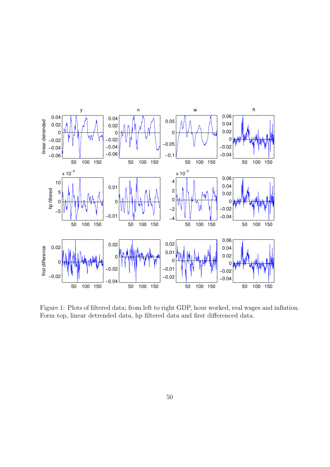

Figure 1: Plots of filtered data; from left to right GDP, hour worked, real wages and inflation. Form top, linear detrended data, hp filtered data and first differenced data.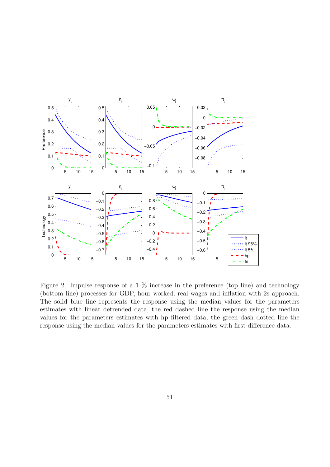

Figure 2: Impulse response of a 1 % increase in the preference (top line) and technology (bottom line) processes for GDP, hour worked, real wages and inflation with 2s approach. The solid blue line represents the response using the median values for the parameters estimates with linear detrended data, the red dashed line the response using the median values for the parameters estimates with hp filtered data, the green dash dotted line the response using the median values for the parameters estimates with first difference data.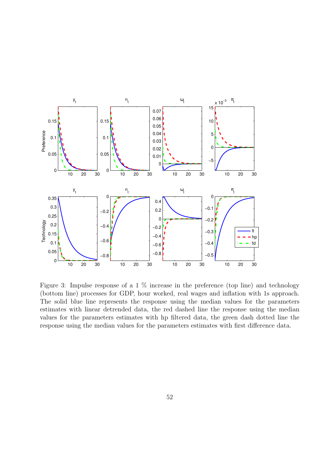

Figure 3: Impulse response of a 1 % increase in the preference (top line) and technology (bottom line) processes for GDP, hour worked, real wages and inflation with 1s approach. The solid blue line represents the response using the median values for the parameters estimates with linear detrended data, the red dashed line the response using the median values for the parameters estimates with hp filtered data, the green dash dotted line the response using the median values for the parameters estimates with first difference data.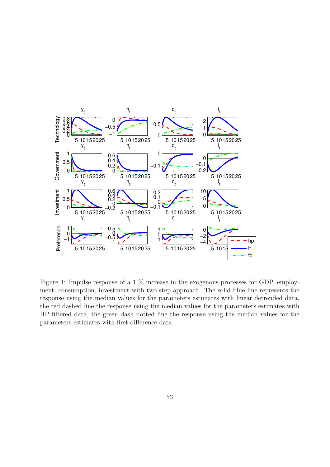

Figure 4: Impulse response of a 1  $\%$  increase in the exogenous processes for GDP, employment, consumption, investment with two step approach. The solid blue line represents the response using the median values for the parameters estimates with linear detrended data, the red dashed line the response using the median values for the parameters estimates with HP filtered data, the green dash dotted line the response using the median values for the parameters estimates with first difference data.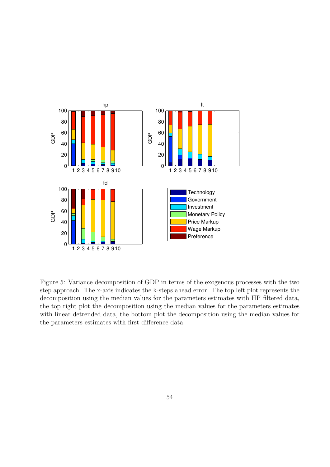

Figure 5: Variance decomposition of GDP in terms of the exogenous processes with the two step approach. The x-axis indicates the k-steps ahead error. The top left plot represents the decomposition using the median values for the parameters estimates with HP filtered data, the top right plot the decomposition using the median values for the parameters estimates with linear detrended data, the bottom plot the decomposition using the median values for the parameters estimates with first difference data.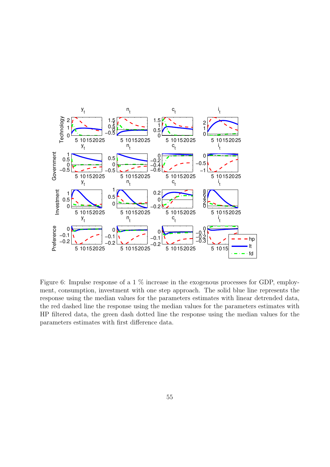

Figure 6: Impulse response of a 1 % increase in the exogenous processes for GDP, employment, consumption, investment with one step approach. The solid blue line represents the response using the median values for the parameters estimates with linear detrended data, the red dashed line the response using the median values for the parameters estimates with HP filtered data, the green dash dotted line the response using the median values for the parameters estimates with first difference data.